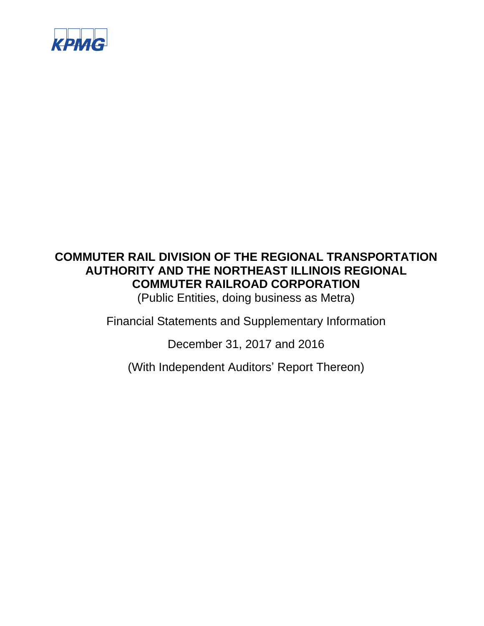

(Public Entities, doing business as Metra)

Financial Statements and Supplementary Information

December 31, 2017 and 2016

(With Independent Auditors' Report Thereon)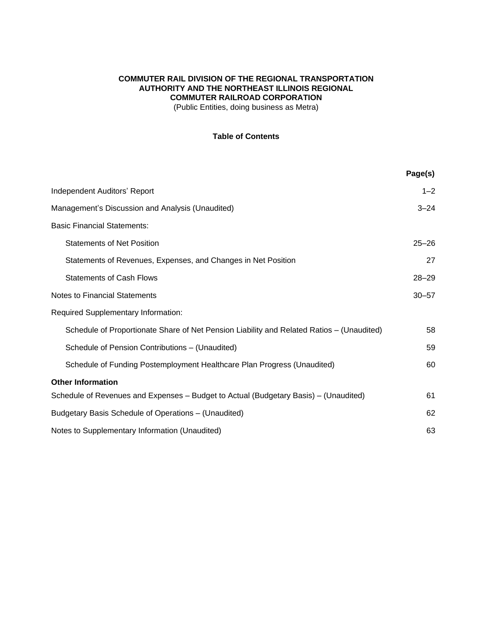(Public Entities, doing business as Metra)

# **Table of Contents**

|                                                                                           | Page(s)   |
|-------------------------------------------------------------------------------------------|-----------|
| Independent Auditors' Report                                                              | $1 - 2$   |
| Management's Discussion and Analysis (Unaudited)                                          | $3 - 24$  |
| <b>Basic Financial Statements:</b>                                                        |           |
| <b>Statements of Net Position</b>                                                         | $25 - 26$ |
| Statements of Revenues, Expenses, and Changes in Net Position                             | 27        |
| <b>Statements of Cash Flows</b>                                                           | $28 - 29$ |
| <b>Notes to Financial Statements</b>                                                      | $30 - 57$ |
| <b>Required Supplementary Information:</b>                                                |           |
| Schedule of Proportionate Share of Net Pension Liability and Related Ratios - (Unaudited) | 58        |
| Schedule of Pension Contributions - (Unaudited)                                           | 59        |
| Schedule of Funding Postemployment Healthcare Plan Progress (Unaudited)                   | 60        |
| <b>Other Information</b>                                                                  |           |
| Schedule of Revenues and Expenses - Budget to Actual (Budgetary Basis) - (Unaudited)      | 61        |
| Budgetary Basis Schedule of Operations - (Unaudited)                                      | 62        |
| Notes to Supplementary Information (Unaudited)                                            | 63        |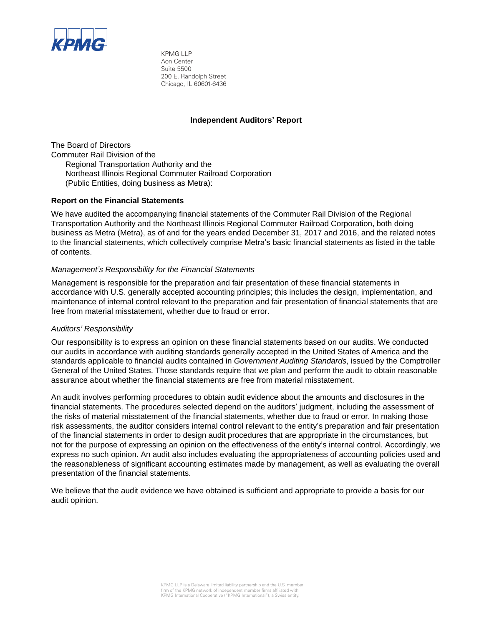

KPMG LLP Aon Center Suite 5500 200 E. Randolph Street Chicago, IL 60601-6436

# **Independent Auditors' Report**

The Board of Directors Commuter Rail Division of the Regional Transportation Authority and the Northeast Illinois Regional Commuter Railroad Corporation (Public Entities, doing business as Metra):

# **Report on the Financial Statements**

We have audited the accompanying financial statements of the Commuter Rail Division of the Regional Transportation Authority and the Northeast Illinois Regional Commuter Railroad Corporation, both doing business as Metra (Metra), as of and for the years ended December 31, 2017 and 2016, and the related notes to the financial statements, which collectively comprise Metra's basic financial statements as listed in the table of contents.

# *Management's Responsibility for the Financial Statements*

Management is responsible for the preparation and fair presentation of these financial statements in accordance with U.S. generally accepted accounting principles; this includes the design, implementation, and maintenance of internal control relevant to the preparation and fair presentation of financial statements that are free from material misstatement, whether due to fraud or error.

# *Auditors' Responsibility*

Our responsibility is to express an opinion on these financial statements based on our audits. We conducted our audits in accordance with auditing standards generally accepted in the United States of America and the standards applicable to financial audits contained in *Government Auditing Standards*, issued by the Comptroller General of the United States. Those standards require that we plan and perform the audit to obtain reasonable assurance about whether the financial statements are free from material misstatement.

An audit involves performing procedures to obtain audit evidence about the amounts and disclosures in the financial statements. The procedures selected depend on the auditors' judgment, including the assessment of the risks of material misstatement of the financial statements, whether due to fraud or error. In making those risk assessments, the auditor considers internal control relevant to the entity's preparation and fair presentation of the financial statements in order to design audit procedures that are appropriate in the circumstances, but not for the purpose of expressing an opinion on the effectiveness of the entity's internal control. Accordingly, we express no such opinion. An audit also includes evaluating the appropriateness of accounting policies used and the reasonableness of significant accounting estimates made by management, as well as evaluating the overall presentation of the financial statements.

We believe that the audit evidence we have obtained is sufficient and appropriate to provide a basis for our audit opinion.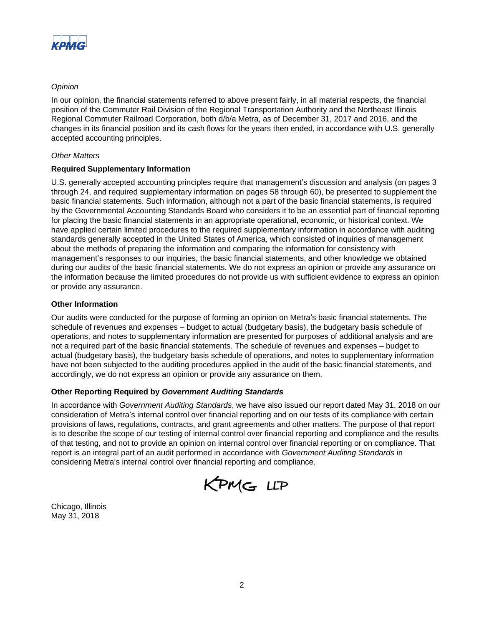

# *Opinion*

In our opinion, the financial statements referred to above present fairly, in all material respects, the financial position of the Commuter Rail Division of the Regional Transportation Authority and the Northeast Illinois Regional Commuter Railroad Corporation, both d/b/a Metra, as of December 31, 2017 and 2016, and the changes in its financial position and its cash flows for the years then ended, in accordance with U.S. generally accepted accounting principles.

# *Other Matters*

# **Required Supplementary Information**

U.S. generally accepted accounting principles require that management's discussion and analysis (on pages 3 through 24, and required supplementary information on pages 58 through 60), be presented to supplement the basic financial statements. Such information, although not a part of the basic financial statements, is required by the Governmental Accounting Standards Board who considers it to be an essential part of financial reporting for placing the basic financial statements in an appropriate operational, economic, or historical context. We have applied certain limited procedures to the required supplementary information in accordance with auditing standards generally accepted in the United States of America, which consisted of inquiries of management about the methods of preparing the information and comparing the information for consistency with management's responses to our inquiries, the basic financial statements, and other knowledge we obtained during our audits of the basic financial statements. We do not express an opinion or provide any assurance on the information because the limited procedures do not provide us with sufficient evidence to express an opinion or provide any assurance.

# **Other Information**

Our audits were conducted for the purpose of forming an opinion on Metra's basic financial statements. The schedule of revenues and expenses – budget to actual (budgetary basis), the budgetary basis schedule of operations, and notes to supplementary information are presented for purposes of additional analysis and are not a required part of the basic financial statements. The schedule of revenues and expenses – budget to actual (budgetary basis), the budgetary basis schedule of operations, and notes to supplementary information have not been subjected to the auditing procedures applied in the audit of the basic financial statements, and accordingly, we do not express an opinion or provide any assurance on them.

# **Other Reporting Required by** *Government Auditing Standards*

In accordance with *Government Auditing Standards*, we have also issued our report dated May 31, 2018 on our consideration of Metra's internal control over financial reporting and on our tests of its compliance with certain provisions of laws, regulations, contracts, and grant agreements and other matters. The purpose of that report is to describe the scope of our testing of internal control over financial reporting and compliance and the results of that testing, and not to provide an opinion on internal control over financial reporting or on compliance. That report is an integral part of an audit performed in accordance with *Government Auditing Standards* in considering Metra's internal control over financial reporting and compliance.



Chicago, Illinois May 31, 2018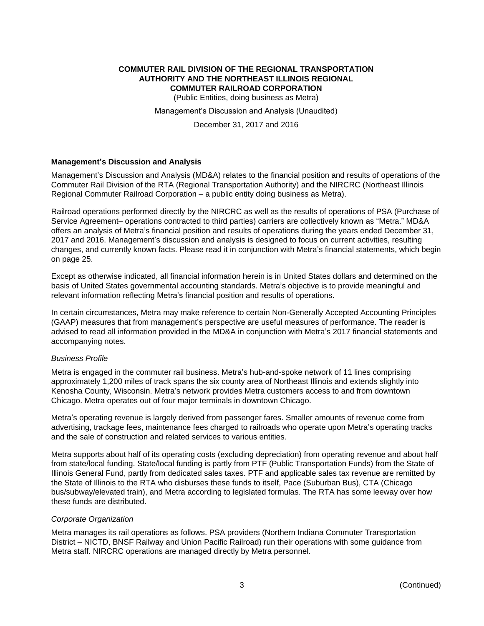(Public Entities, doing business as Metra)

Management's Discussion and Analysis (Unaudited)

December 31, 2017 and 2016

# **Management's Discussion and Analysis**

Management's Discussion and Analysis (MD&A) relates to the financial position and results of operations of the Commuter Rail Division of the RTA (Regional Transportation Authority) and the NIRCRC (Northeast Illinois Regional Commuter Railroad Corporation – a public entity doing business as Metra).

Railroad operations performed directly by the NIRCRC as well as the results of operations of PSA (Purchase of Service Agreement– operations contracted to third parties) carriers are collectively known as "Metra." MD&A offers an analysis of Metra's financial position and results of operations during the years ended December 31, 2017 and 2016. Management's discussion and analysis is designed to focus on current activities, resulting changes, and currently known facts. Please read it in conjunction with Metra's financial statements, which begin on page 25.

Except as otherwise indicated, all financial information herein is in United States dollars and determined on the basis of United States governmental accounting standards. Metra's objective is to provide meaningful and relevant information reflecting Metra's financial position and results of operations.

In certain circumstances, Metra may make reference to certain Non-Generally Accepted Accounting Principles (GAAP) measures that from management's perspective are useful measures of performance. The reader is advised to read all information provided in the MD&A in conjunction with Metra's 2017 financial statements and accompanying notes.

# *Business Profile*

Metra is engaged in the commuter rail business. Metra's hub-and-spoke network of 11 lines comprising approximately 1,200 miles of track spans the six county area of Northeast Illinois and extends slightly into Kenosha County, Wisconsin. Metra's network provides Metra customers access to and from downtown Chicago. Metra operates out of four major terminals in downtown Chicago.

Metra's operating revenue is largely derived from passenger fares. Smaller amounts of revenue come from advertising, trackage fees, maintenance fees charged to railroads who operate upon Metra's operating tracks and the sale of construction and related services to various entities.

Metra supports about half of its operating costs (excluding depreciation) from operating revenue and about half from state/local funding. State/local funding is partly from PTF (Public Transportation Funds) from the State of Illinois General Fund, partly from dedicated sales taxes. PTF and applicable sales tax revenue are remitted by the State of Illinois to the RTA who disburses these funds to itself, Pace (Suburban Bus), CTA (Chicago bus/subway/elevated train), and Metra according to legislated formulas. The RTA has some leeway over how these funds are distributed.

# *Corporate Organization*

Metra manages its rail operations as follows. PSA providers (Northern Indiana Commuter Transportation District – NICTD, BNSF Railway and Union Pacific Railroad) run their operations with some guidance from Metra staff. NIRCRC operations are managed directly by Metra personnel.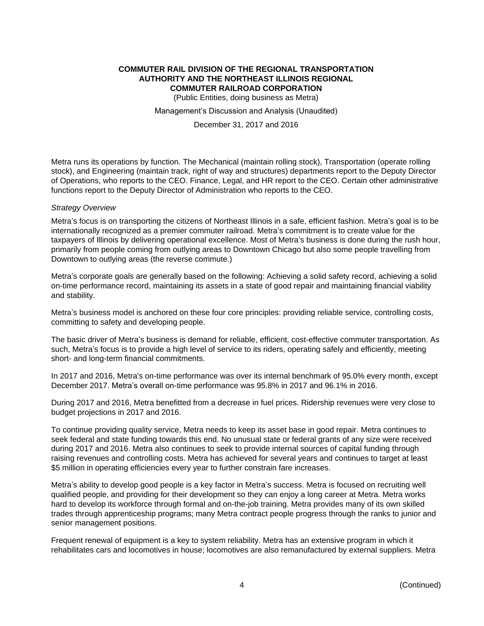(Public Entities, doing business as Metra)

Management's Discussion and Analysis (Unaudited)

December 31, 2017 and 2016

Metra runs its operations by function. The Mechanical (maintain rolling stock), Transportation (operate rolling stock), and Engineering (maintain track, right of way and structures) departments report to the Deputy Director of Operations, who reports to the CEO. Finance, Legal, and HR report to the CEO. Certain other administrative functions report to the Deputy Director of Administration who reports to the CEO.

#### *Strategy Overview*

Metra's focus is on transporting the citizens of Northeast Illinois in a safe, efficient fashion. Metra's goal is to be internationally recognized as a premier commuter railroad. Metra's commitment is to create value for the taxpayers of Illinois by delivering operational excellence. Most of Metra's business is done during the rush hour, primarily from people coming from outlying areas to Downtown Chicago but also some people travelling from Downtown to outlying areas (the reverse commute.)

Metra's corporate goals are generally based on the following: Achieving a solid safety record, achieving a solid on-time performance record, maintaining its assets in a state of good repair and maintaining financial viability and stability.

Metra's business model is anchored on these four core principles: providing reliable service, controlling costs, committing to safety and developing people.

The basic driver of Metra's business is demand for reliable, efficient, cost-effective commuter transportation. As such, Metra's focus is to provide a high level of service to its riders, operating safely and efficiently, meeting short- and long-term financial commitments.

In 2017 and 2016, Metra's on-time performance was over its internal benchmark of 95.0% every month, except December 2017. Metra's overall on-time performance was 95.8% in 2017 and 96.1% in 2016.

During 2017 and 2016, Metra benefitted from a decrease in fuel prices. Ridership revenues were very close to budget projections in 2017 and 2016.

To continue providing quality service, Metra needs to keep its asset base in good repair. Metra continues to seek federal and state funding towards this end. No unusual state or federal grants of any size were received during 2017 and 2016. Metra also continues to seek to provide internal sources of capital funding through raising revenues and controlling costs. Metra has achieved for several years and continues to target at least \$5 million in operating efficiencies every year to further constrain fare increases.

Metra's ability to develop good people is a key factor in Metra's success. Metra is focused on recruiting well qualified people, and providing for their development so they can enjoy a long career at Metra. Metra works hard to develop its workforce through formal and on-the-job training. Metra provides many of its own skilled trades through apprenticeship programs; many Metra contract people progress through the ranks to junior and senior management positions.

Frequent renewal of equipment is a key to system reliability. Metra has an extensive program in which it rehabilitates cars and locomotives in house; locomotives are also remanufactured by external suppliers. Metra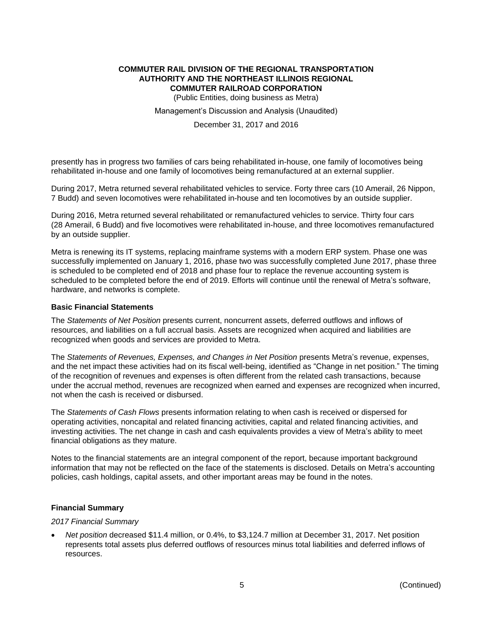(Public Entities, doing business as Metra)

Management's Discussion and Analysis (Unaudited)

December 31, 2017 and 2016

presently has in progress two families of cars being rehabilitated in-house, one family of locomotives being rehabilitated in-house and one family of locomotives being remanufactured at an external supplier.

During 2017, Metra returned several rehabilitated vehicles to service. Forty three cars (10 Amerail, 26 Nippon, 7 Budd) and seven locomotives were rehabilitated in-house and ten locomotives by an outside supplier.

During 2016, Metra returned several rehabilitated or remanufactured vehicles to service. Thirty four cars (28 Amerail, 6 Budd) and five locomotives were rehabilitated in-house, and three locomotives remanufactured by an outside supplier.

Metra is renewing its IT systems, replacing mainframe systems with a modern ERP system. Phase one was successfully implemented on January 1, 2016, phase two was successfully completed June 2017, phase three is scheduled to be completed end of 2018 and phase four to replace the revenue accounting system is scheduled to be completed before the end of 2019. Efforts will continue until the renewal of Metra's software, hardware, and networks is complete.

# **Basic Financial Statements**

The *Statements of Net Position* presents current, noncurrent assets, deferred outflows and inflows of resources, and liabilities on a full accrual basis. Assets are recognized when acquired and liabilities are recognized when goods and services are provided to Metra.

The *Statements of Revenues, Expenses, and Changes in Net Position* presents Metra's revenue, expenses, and the net impact these activities had on its fiscal well-being, identified as "Change in net position." The timing of the recognition of revenues and expenses is often different from the related cash transactions, because under the accrual method, revenues are recognized when earned and expenses are recognized when incurred, not when the cash is received or disbursed.

The *Statements of Cash Flows* presents information relating to when cash is received or dispersed for operating activities, noncapital and related financing activities, capital and related financing activities, and investing activities. The net change in cash and cash equivalents provides a view of Metra's ability to meet financial obligations as they mature.

Notes to the financial statements are an integral component of the report, because important background information that may not be reflected on the face of the statements is disclosed. Details on Metra's accounting policies, cash holdings, capital assets, and other important areas may be found in the notes.

# **Financial Summary**

# *2017 Financial Summary*

 *Net position* decreased \$11.4 million, or 0.4%, to \$3,124.7 million at December 31, 2017. Net position represents total assets plus deferred outflows of resources minus total liabilities and deferred inflows of resources.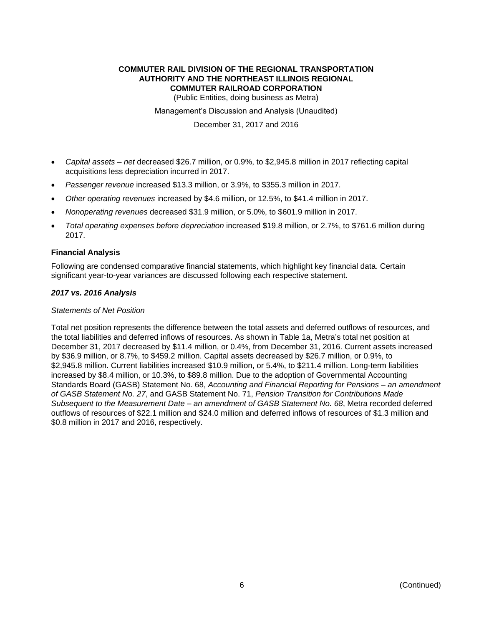(Public Entities, doing business as Metra)

Management's Discussion and Analysis (Unaudited)

December 31, 2017 and 2016

- *Capital assets – net* decreased \$26.7 million, or 0.9%, to \$2,945.8 million in 2017 reflecting capital acquisitions less depreciation incurred in 2017.
- *Passenger revenue* increased \$13.3 million, or 3.9%, to \$355.3 million in 2017.
- *Other operating revenues* increased by \$4.6 million, or 12.5%, to \$41.4 million in 2017.
- *Nonoperating revenues* decreased \$31.9 million, or 5.0%, to \$601.9 million in 2017.
- *Total operating expenses before depreciation* increased \$19.8 million, or 2.7%, to \$761.6 million during 2017.

# **Financial Analysis**

Following are condensed comparative financial statements, which highlight key financial data. Certain significant year-to-year variances are discussed following each respective statement.

# *2017 vs. 2016 Analysis*

# *Statements of Net Position*

Total net position represents the difference between the total assets and deferred outflows of resources, and the total liabilities and deferred inflows of resources. As shown in Table 1a, Metra's total net position at December 31, 2017 decreased by \$11.4 million, or 0.4%, from December 31, 2016. Current assets increased by \$36.9 million, or 8.7%, to \$459.2 million. Capital assets decreased by \$26.7 million, or 0.9%, to \$2,945.8 million. Current liabilities increased \$10.9 million, or 5.4%, to \$211.4 million. Long-term liabilities increased by \$8.4 million, or 10.3%, to \$89.8 million. Due to the adoption of Governmental Accounting Standards Board (GASB) Statement No. 68, *Accounting and Financial Reporting for Pensions – an amendment of GASB Statement No. 27*, and GASB Statement No. 71, *Pension Transition for Contributions Made Subsequent to the Measurement Date – an amendment of GASB Statement No. 68*, Metra recorded deferred outflows of resources of \$22.1 million and \$24.0 million and deferred inflows of resources of \$1.3 million and \$0.8 million in 2017 and 2016, respectively.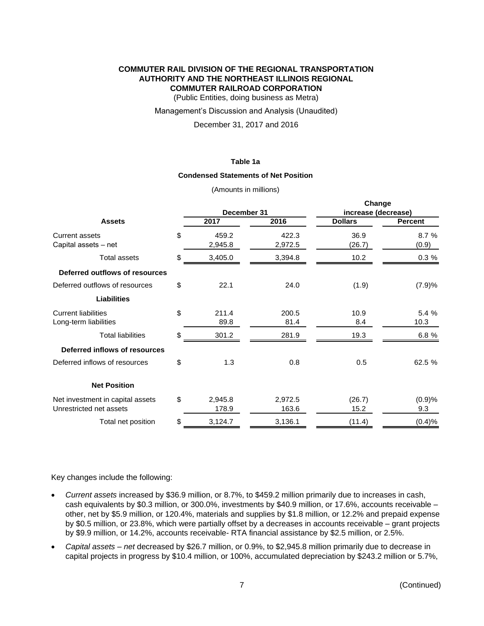(Public Entities, doing business as Metra)

Management's Discussion and Analysis (Unaudited)

December 31, 2017 and 2016

# **Table 1a**

#### **Condensed Statements of Net Position**

(Amounts in millions)

|                                  |               |         | Unange              |                |  |
|----------------------------------|---------------|---------|---------------------|----------------|--|
|                                  | December 31   |         | increase (decrease) |                |  |
| <b>Assets</b>                    | 2017          | 2016    | <b>Dollars</b>      | <b>Percent</b> |  |
| <b>Current assets</b>            | \$<br>459.2   | 422.3   | 36.9                | 8.7%           |  |
| Capital assets - net             | 2,945.8       | 2,972.5 | (26.7)              | (0.9)          |  |
| <b>Total assets</b>              | \$<br>3,405.0 | 3,394.8 | 10.2                | 0.3 %          |  |
| Deferred outflows of resources   |               |         |                     |                |  |
| Deferred outflows of resources   | \$<br>22.1    | 24.0    | (1.9)               | (7.9)%         |  |
| <b>Liabilities</b>               |               |         |                     |                |  |
| <b>Current liabilities</b>       | \$<br>211.4   | 200.5   | 10.9                | 5.4 %          |  |
| Long-term liabilities            | 89.8          | 81.4    | 8.4                 | 10.3           |  |
| <b>Total liabilities</b>         | \$<br>301.2   | 281.9   | 19.3                | 6.8%           |  |
| Deferred inflows of resources    |               |         |                     |                |  |
| Deferred inflows of resources    | \$<br>1.3     | 0.8     | 0.5                 | 62.5 %         |  |
| <b>Net Position</b>              |               |         |                     |                |  |
| Net investment in capital assets | \$<br>2,945.8 | 2,972.5 | (26.7)              | (0.9)%         |  |
| Unrestricted net assets          | 178.9         | 163.6   | 15.2                | 9.3            |  |
| Total net position               | \$<br>3,124.7 | 3,136.1 | (11.4)              | (0.4)%         |  |

Key changes include the following:

- *Current assets* increased by \$36.9 million, or 8.7%, to \$459.2 million primarily due to increases in cash, cash equivalents by \$0.3 million, or 300.0%, investments by \$40.9 million, or 17.6%, accounts receivable – other, net by \$5.9 million, or 120.4%, materials and supplies by \$1.8 million, or 12.2% and prepaid expense by \$0.5 million, or 23.8%, which were partially offset by a decreases in accounts receivable – grant projects by \$9.9 million, or 14.2%, accounts receivable- RTA financial assistance by \$2.5 million, or 2.5%.
- *Capital assets net* decreased by \$26.7 million, or 0.9%, to \$2,945.8 million primarily due to decrease in capital projects in progress by \$10.4 million, or 100%, accumulated depreciation by \$243.2 million or 5.7%,

**Change**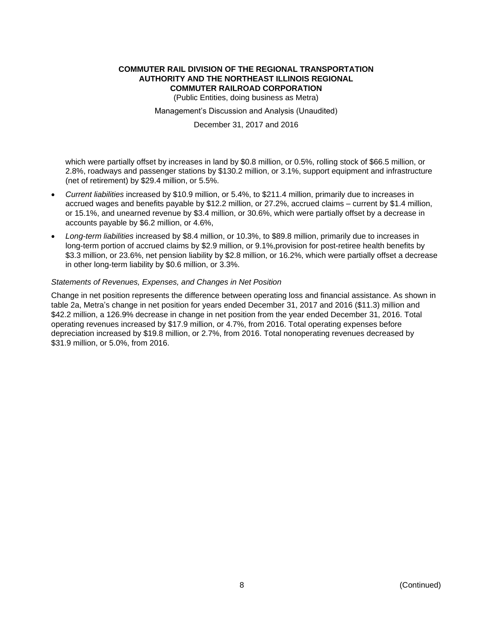(Public Entities, doing business as Metra)

Management's Discussion and Analysis (Unaudited)

December 31, 2017 and 2016

which were partially offset by increases in land by \$0.8 million, or 0.5%, rolling stock of \$66.5 million, or 2.8%, roadways and passenger stations by \$130.2 million, or 3.1%, support equipment and infrastructure (net of retirement) by \$29.4 million, or 5.5%.

- *Current liabilities* increased by \$10.9 million, or 5.4%, to \$211.4 million, primarily due to increases in accrued wages and benefits payable by \$12.2 million, or 27.2%, accrued claims – current by \$1.4 million, or 15.1%, and unearned revenue by \$3.4 million, or 30.6%, which were partially offset by a decrease in accounts payable by \$6.2 million, or 4.6%,
- *Long-term liabilities* increased by \$8.4 million, or 10.3%, to \$89.8 million, primarily due to increases in long-term portion of accrued claims by \$2.9 million, or 9.1%,provision for post-retiree health benefits by \$3.3 million, or 23.6%, net pension liability by \$2.8 million, or 16.2%, which were partially offset a decrease in other long-term liability by \$0.6 million, or 3.3%.

# *Statements of Revenues, Expenses, and Changes in Net Position*

Change in net position represents the difference between operating loss and financial assistance. As shown in table 2a, Metra's change in net position for years ended December 31, 2017 and 2016 (\$11.3) million and \$42.2 million, a 126.9% decrease in change in net position from the year ended December 31, 2016. Total operating revenues increased by \$17.9 million, or 4.7%, from 2016. Total operating expenses before depreciation increased by \$19.8 million, or 2.7%, from 2016. Total nonoperating revenues decreased by \$31.9 million, or 5.0%, from 2016.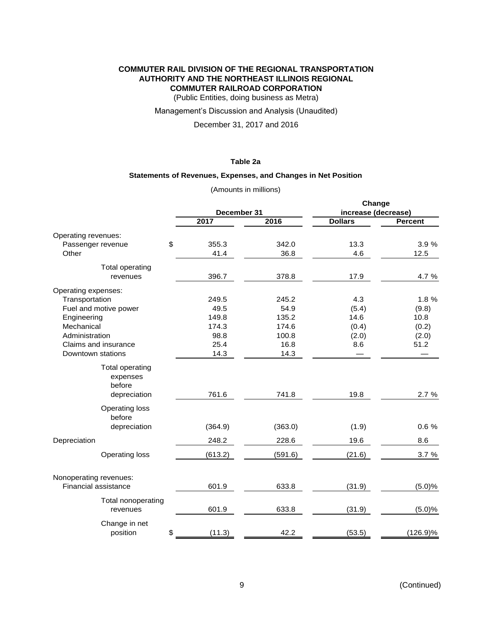(Public Entities, doing business as Metra)

Management's Discussion and Analysis (Unaudited)

December 31, 2017 and 2016

# **Table 2a**

#### **Statements of Revenues, Expenses, and Changes in Net Position**

(Amounts in millions) **Change December 31 increase (decrease) 2017 2016 Dollars Percent** Operating revenues: Passenger revenue  $$355.3$   $342.0$   $13.3$   $3.9\%$ Other **12.5** 2012 12.5 2014 12.4 2014 12.5 2014 12.5 2014 12.5 Total operating revenues 396.7 378.8 17.9 4.7 % Operating expenses: Transportation 249.5 245.2 4.3 1.8 % Fuel and motive power  $49.5$   $54.9$   $(5.4)$   $(9.8)$ Engineering 149.8 135.2 14.6 10.8 Mechanical 174.3 174.6 (0.4) (0.2) Administration 08.8 100.8 (2.0) (2.0) Claims and insurance  $25.4$  16.8 8.6 51.2 Downtown stations 14.3 14.3 Total operating expenses before depreciation 761.6 741.8 19.8 2.7 % Operating loss before depreciation (364.9) (363.0) (1.9) 0.6 % Depreciation 248.2 228.6 19.6 8.6 Operating loss (613.2) (591.6) (21.6) 3.7 % Nonoperating revenues: Financial assistance 601.9 633.8 (31.9) (5.0)% Total nonoperating revenues 601.9 633.8 (31.9) (5.0)% Change in net position \$ (11.3) 42.2 (53.5) (126.9)%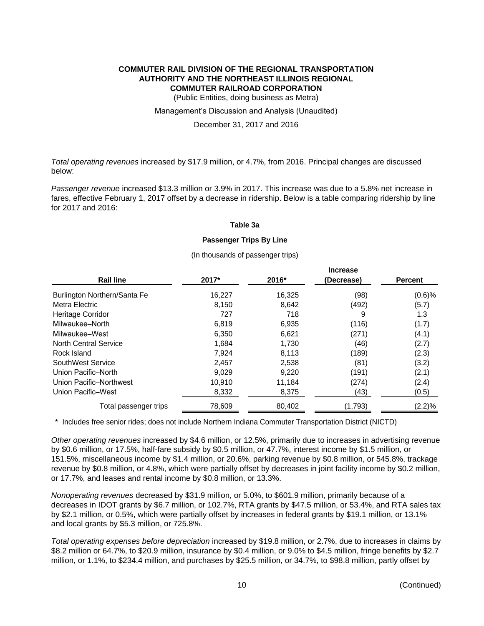(Public Entities, doing business as Metra)

#### Management's Discussion and Analysis (Unaudited)

December 31, 2017 and 2016

*Total operating revenues* increased by \$17.9 million, or 4.7%, from 2016. Principal changes are discussed below:

*Passenger revenue* increased \$13.3 million or 3.9% in 2017. This increase was due to a 5.8% net increase in fares, effective February 1, 2017 offset by a decrease in ridership. Below is a table comparing ridership by line for 2017 and 2016:

#### **Table 3a**

#### **Passenger Trips By Line**

(In thousands of passenger trips)

| 2017*  | 2016*  | (Decrease) | <b>Percent</b>  |
|--------|--------|------------|-----------------|
| 16,227 | 16,325 | (98)       | (0.6)%          |
| 8.150  | 8,642  | (492)      | (5.7)           |
| 727    | 718    | 9          | 1.3             |
| 6,819  | 6,935  | (116)      | (1.7)           |
| 6,350  | 6,621  | (271)      | (4.1)           |
| 1,684  | 1,730  | (46)       | (2.7)           |
| 7,924  | 8,113  | (189)      | (2.3)           |
| 2,457  | 2,538  | (81)       | (3.2)           |
| 9.029  | 9,220  | (191)      | (2.1)           |
| 10.910 | 11,184 | (274)      | (2.4)           |
| 8,332  | 8,375  | (43)       | (0.5)           |
| 78,609 | 80,402 | (1,793)    | $(2.2)\%$       |
|        |        |            | <b>Increase</b> |

\* Includes free senior rides; does not include Northern Indiana Commuter Transportation District (NICTD)

*Other operating revenues* increased by \$4.6 million, or 12.5%, primarily due to increases in advertising revenue by \$0.6 million, or 17.5%, half-fare subsidy by \$0.5 million, or 47.7%, interest income by \$1.5 million, or 151.5%, miscellaneous income by \$1.4 million, or 20.6%, parking revenue by \$0.8 million, or 545.8%, trackage revenue by \$0.8 million, or 4.8%, which were partially offset by decreases in joint facility income by \$0.2 million, or 17.7%, and leases and rental income by \$0.8 million, or 13.3%.

*Nonoperating revenues* decreased by \$31.9 million, or 5.0%, to \$601.9 million, primarily because of a decreases in IDOT grants by \$6.7 million, or 102.7%, RTA grants by \$47.5 million, or 53.4%, and RTA sales tax by \$2.1 million, or 0.5%, which were partially offset by increases in federal grants by \$19.1 million, or 13.1% and local grants by \$5.3 million, or 725.8%.

*Total operating expenses before depreciation* increased by \$19.8 million, or 2.7%, due to increases in claims by \$8.2 million or 64.7%, to \$20.9 million, insurance by \$0.4 million, or 9.0% to \$4.5 million, fringe benefits by \$2.7 million, or 1.1%, to \$234.4 million, and purchases by \$25.5 million, or 34.7%, to \$98.8 million, partly offset by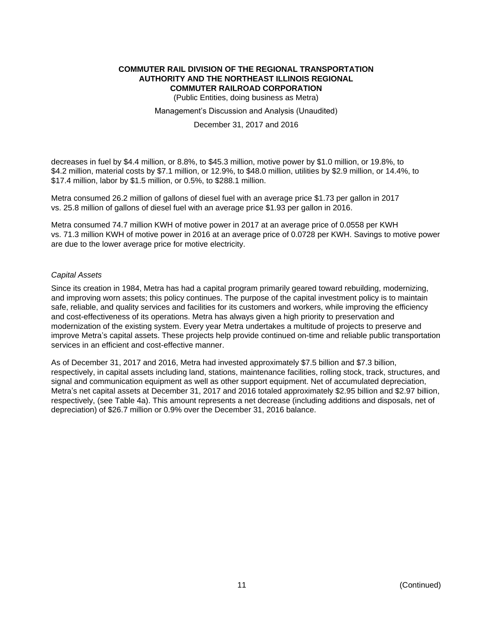(Public Entities, doing business as Metra)

Management's Discussion and Analysis (Unaudited)

December 31, 2017 and 2016

decreases in fuel by \$4.4 million, or 8.8%, to \$45.3 million, motive power by \$1.0 million, or 19.8%, to \$4.2 million, material costs by \$7.1 million, or 12.9%, to \$48.0 million, utilities by \$2.9 million, or 14.4%, to \$17.4 million, labor by \$1.5 million, or 0.5%, to \$288.1 million.

Metra consumed 26.2 million of gallons of diesel fuel with an average price \$1.73 per gallon in 2017 vs. 25.8 million of gallons of diesel fuel with an average price \$1.93 per gallon in 2016.

Metra consumed 74.7 million KWH of motive power in 2017 at an average price of 0.0558 per KWH vs. 71.3 million KWH of motive power in 2016 at an average price of 0.0728 per KWH. Savings to motive power are due to the lower average price for motive electricity.

# *Capital Assets*

Since its creation in 1984, Metra has had a capital program primarily geared toward rebuilding, modernizing, and improving worn assets; this policy continues. The purpose of the capital investment policy is to maintain safe, reliable, and quality services and facilities for its customers and workers, while improving the efficiency and cost-effectiveness of its operations. Metra has always given a high priority to preservation and modernization of the existing system. Every year Metra undertakes a multitude of projects to preserve and improve Metra's capital assets. These projects help provide continued on-time and reliable public transportation services in an efficient and cost-effective manner.

As of December 31, 2017 and 2016, Metra had invested approximately \$7.5 billion and \$7.3 billion, respectively, in capital assets including land, stations, maintenance facilities, rolling stock, track, structures, and signal and communication equipment as well as other support equipment. Net of accumulated depreciation, Metra's net capital assets at December 31, 2017 and 2016 totaled approximately \$2.95 billion and \$2.97 billion, respectively, (see Table 4a). This amount represents a net decrease (including additions and disposals, net of depreciation) of \$26.7 million or 0.9% over the December 31, 2016 balance.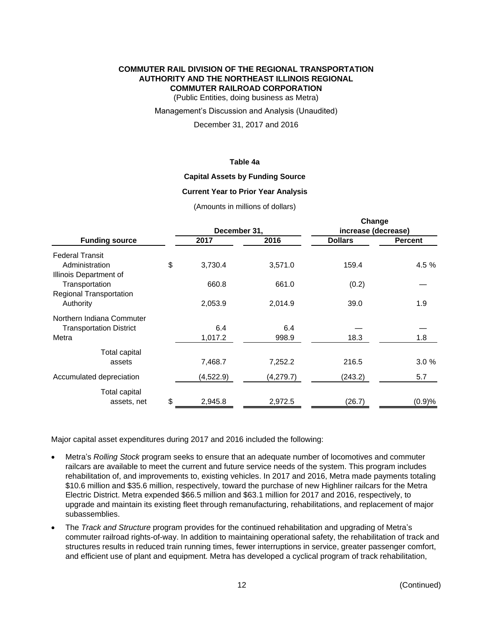(Public Entities, doing business as Metra)

Management's Discussion and Analysis (Unaudited)

December 31, 2017 and 2016

# **Table 4a**

#### **Capital Assets by Funding Source**

#### **Current Year to Prior Year Analysis**

(Amounts in millions of dollars)

|                                                                    | December 31,  |           | Unduye<br>increase (decrease) |                |  |
|--------------------------------------------------------------------|---------------|-----------|-------------------------------|----------------|--|
| <b>Funding source</b>                                              | 2017          | 2016      | <b>Dollars</b>                | <b>Percent</b> |  |
| <b>Federal Transit</b><br>Administration<br>Illinois Department of | \$<br>3,730.4 | 3,571.0   | 159.4                         | 4.5 %          |  |
| Transportation                                                     | 660.8         | 661.0     | (0.2)                         |                |  |
| <b>Regional Transportation</b><br>Authority                        | 2,053.9       | 2,014.9   | 39.0                          | 1.9            |  |
| Northern Indiana Commuter                                          |               |           |                               |                |  |
| <b>Transportation District</b>                                     | 6.4           | 6.4       |                               |                |  |
| Metra                                                              | 1,017.2       | 998.9     | 18.3                          | 1.8            |  |
| <b>Total capital</b>                                               |               |           |                               |                |  |
| assets                                                             | 7,468.7       | 7,252.2   | 216.5                         | 3.0%           |  |
| Accumulated depreciation                                           | (4, 522.9)    | (4,279.7) | (243.2)                       | 5.7            |  |
| <b>Total capital</b><br>assets, net                                | \$<br>2,945.8 | 2,972.5   | (26.7)                        | (0.9)%         |  |

Major capital asset expenditures during 2017 and 2016 included the following:

- Metra's *Rolling Stock* program seeks to ensure that an adequate number of locomotives and commuter railcars are available to meet the current and future service needs of the system. This program includes rehabilitation of, and improvements to, existing vehicles. In 2017 and 2016, Metra made payments totaling \$10.6 million and \$35.6 million, respectively, toward the purchase of new Highliner railcars for the Metra Electric District. Metra expended \$66.5 million and \$63.1 million for 2017 and 2016, respectively, to upgrade and maintain its existing fleet through remanufacturing, rehabilitations, and replacement of major subassemblies.
- The *Track and Structure* program provides for the continued rehabilitation and upgrading of Metra's commuter railroad rights-of-way. In addition to maintaining operational safety, the rehabilitation of track and structures results in reduced train running times, fewer interruptions in service, greater passenger comfort, and efficient use of plant and equipment. Metra has developed a cyclical program of track rehabilitation,

**Change**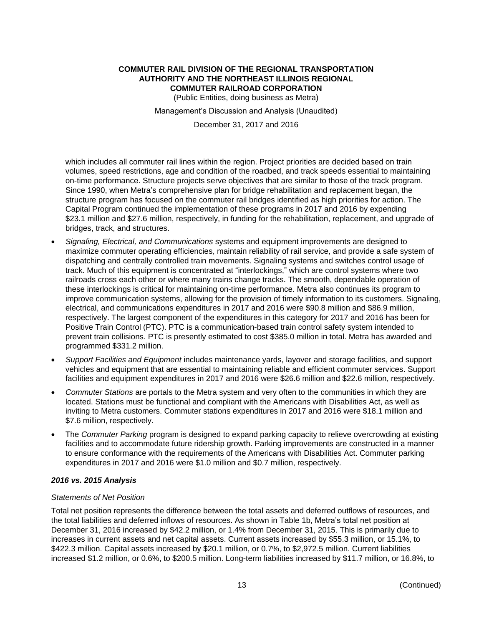(Public Entities, doing business as Metra)

Management's Discussion and Analysis (Unaudited)

December 31, 2017 and 2016

which includes all commuter rail lines within the region. Project priorities are decided based on train volumes, speed restrictions, age and condition of the roadbed, and track speeds essential to maintaining on-time performance. Structure projects serve objectives that are similar to those of the track program. Since 1990, when Metra's comprehensive plan for bridge rehabilitation and replacement began, the structure program has focused on the commuter rail bridges identified as high priorities for action. The Capital Program continued the implementation of these programs in 2017 and 2016 by expending \$23.1 million and \$27.6 million, respectively, in funding for the rehabilitation, replacement, and upgrade of bridges, track, and structures.

- *Signaling, Electrical, and Communications* systems and equipment improvements are designed to maximize commuter operating efficiencies, maintain reliability of rail service, and provide a safe system of dispatching and centrally controlled train movements. Signaling systems and switches control usage of track. Much of this equipment is concentrated at "interlockings," which are control systems where two railroads cross each other or where many trains change tracks. The smooth, dependable operation of these interlockings is critical for maintaining on-time performance. Metra also continues its program to improve communication systems, allowing for the provision of timely information to its customers. Signaling, electrical, and communications expenditures in 2017 and 2016 were \$90.8 million and \$86.9 million, respectively. The largest component of the expenditures in this category for 2017 and 2016 has been for Positive Train Control (PTC). PTC is a communication-based train control safety system intended to prevent train collisions. PTC is presently estimated to cost \$385.0 million in total. Metra has awarded and programmed \$331.2 million.
- *Support Facilities and Equipment* includes maintenance yards, layover and storage facilities, and support vehicles and equipment that are essential to maintaining reliable and efficient commuter services. Support facilities and equipment expenditures in 2017 and 2016 were \$26.6 million and \$22.6 million, respectively.
- *Commuter Stations* are portals to the Metra system and very often to the communities in which they are located. Stations must be functional and compliant with the Americans with Disabilities Act, as well as inviting to Metra customers. Commuter stations expenditures in 2017 and 2016 were \$18.1 million and \$7.6 million, respectively.
- The *Commuter Parking* program is designed to expand parking capacity to relieve overcrowding at existing facilities and to accommodate future ridership growth. Parking improvements are constructed in a manner to ensure conformance with the requirements of the Americans with Disabilities Act. Commuter parking expenditures in 2017 and 2016 were \$1.0 million and \$0.7 million, respectively.

# *2016 vs. 2015 Analysis*

# *Statements of Net Position*

Total net position represents the difference between the total assets and deferred outflows of resources, and the total liabilities and deferred inflows of resources. As shown in Table 1b, Metra's total net position at December 31, 2016 increased by \$42.2 million, or 1.4% from December 31, 2015. This is primarily due to increases in current assets and net capital assets. Current assets increased by \$55.3 million, or 15.1%, to \$422.3 million. Capital assets increased by \$20.1 million, or 0.7%, to \$2,972.5 million. Current liabilities increased \$1.2 million, or 0.6%, to \$200.5 million. Long-term liabilities increased by \$11.7 million, or 16.8%, to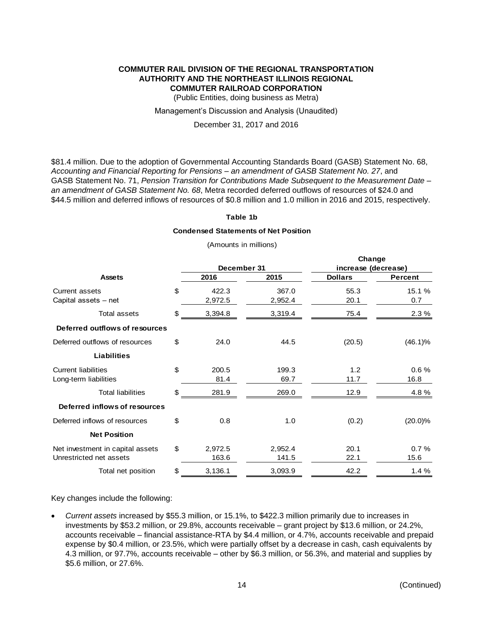(Public Entities, doing business as Metra)

#### Management's Discussion and Analysis (Unaudited)

December 31, 2017 and 2016

\$81.4 million. Due to the adoption of Governmental Accounting Standards Board (GASB) Statement No. 68, *Accounting and Financial Reporting for Pensions – an amendment of GASB Statement No. 27*, and GASB Statement No. 71, *Pension Transition for Contributions Made Subsequent to the Measurement Date – an amendment of GASB Statement No. 68*, Metra recorded deferred outflows of resources of \$24.0 and \$44.5 million and deferred inflows of resources of \$0.8 million and 1.0 million in 2016 and 2015, respectively.

#### **Table 1b**

#### **Condensed Statements of Net Position**

(Amounts in millions)

|                                  |    |             |         | ----------          |            |
|----------------------------------|----|-------------|---------|---------------------|------------|
|                                  |    | December 31 |         | increase (decrease) |            |
| <b>Assets</b>                    |    | 2016        | 2015    | <b>Dollars</b>      | Percent    |
| Current assets                   | \$ | 422.3       | 367.0   | 55.3                | 15.1 %     |
| Capital assets - net             |    | 2,972.5     | 2,952.4 | 20.1                | 0.7        |
| Total assets                     | \$ | 3,394.8     | 3,319.4 | 75.4                | 2.3%       |
| Deferred outflows of resources   |    |             |         |                     |            |
| Deferred outflows of resources   | \$ | 24.0        | 44.5    | (20.5)              | $(46.1)\%$ |
| <b>Liabilities</b>               |    |             |         |                     |            |
| <b>Current liabilities</b>       | \$ | 200.5       | 199.3   | 1.2                 | 0.6%       |
| Long-term liabilities            |    | 81.4        | 69.7    | 11.7                | 16.8       |
| <b>Total liabilities</b>         | \$ | 281.9       | 269.0   | 12.9                | 4.8%       |
| Deferred inflows of resources    |    |             |         |                     |            |
| Deferred inflows of resources    | \$ | 0.8         | 1.0     | (0.2)               | $(20.0)\%$ |
| <b>Net Position</b>              |    |             |         |                     |            |
| Net investment in capital assets | \$ | 2,972.5     | 2,952.4 | 20.1                | 0.7%       |
| Unrestricted net assets          |    | 163.6       | 141.5   | 22.1                | 15.6       |
| Total net position               | \$ | 3,136.1     | 3,093.9 | 42.2                | 1.4%       |

Key changes include the following:

 *Current assets* increased by \$55.3 million, or 15.1%, to \$422.3 million primarily due to increases in investments by \$53.2 million, or 29.8%, accounts receivable – grant project by \$13.6 million, or 24.2%, accounts receivable – financial assistance-RTA by \$4.4 million, or 4.7%, accounts receivable and prepaid expense by \$0.4 million, or 23.5%, which were partially offset by a decrease in cash, cash equivalents by 4.3 million, or 97.7%, accounts receivable – other by \$6.3 million, or 56.3%, and material and supplies by \$5.6 million, or 27.6%.

**Change**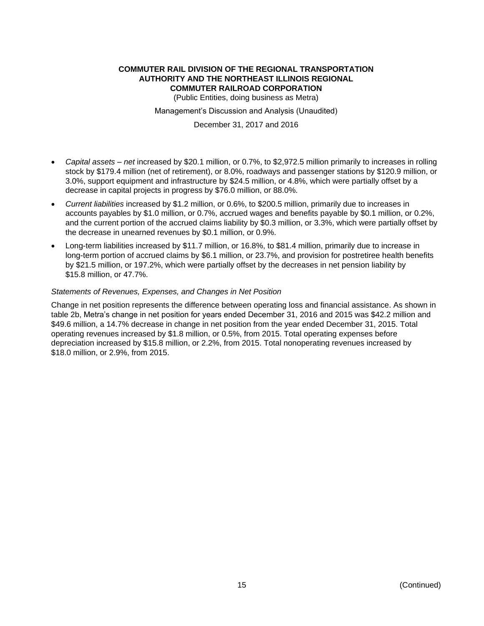(Public Entities, doing business as Metra)

Management's Discussion and Analysis (Unaudited)

December 31, 2017 and 2016

- *Capital assets net* increased by \$20.1 million, or 0.7%, to \$2,972.5 million primarily to increases in rolling stock by \$179.4 million (net of retirement), or 8.0%, roadways and passenger stations by \$120.9 million, or 3.0%, support equipment and infrastructure by \$24.5 million, or 4.8%, which were partially offset by a decrease in capital projects in progress by \$76.0 million, or 88.0%.
- *Current liabilities* increased by \$1.2 million, or 0.6%, to \$200.5 million, primarily due to increases in accounts payables by \$1.0 million, or 0.7%, accrued wages and benefits payable by \$0.1 million, or 0.2%, and the current portion of the accrued claims liability by \$0.3 million, or 3.3%, which were partially offset by the decrease in unearned revenues by \$0.1 million, or 0.9%.
- Long-term liabilities increased by \$11.7 million, or 16.8%, to \$81.4 million, primarily due to increase in long-term portion of accrued claims by \$6.1 million, or 23.7%, and provision for postretiree health benefits by \$21.5 million, or 197.2%, which were partially offset by the decreases in net pension liability by \$15.8 million, or 47.7%.

# *Statements of Revenues, Expenses, and Changes in Net Position*

Change in net position represents the difference between operating loss and financial assistance. As shown in table 2b, Metra's change in net position for years ended December 31, 2016 and 2015 was \$42.2 million and \$49.6 million, a 14.7% decrease in change in net position from the year ended December 31, 2015. Total operating revenues increased by \$1.8 million, or 0.5%, from 2015. Total operating expenses before depreciation increased by \$15.8 million, or 2.2%, from 2015. Total nonoperating revenues increased by \$18.0 million, or 2.9%, from 2015.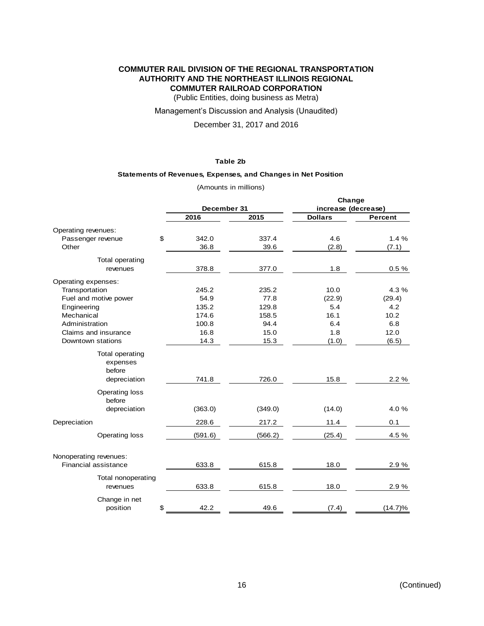(Public Entities, doing business as Metra)

# Management's Discussion and Analysis (Unaudited)

December 31, 2017 and 2016

# **Table 2b**

# **Statements of Revenues, Expenses, and Changes in Net Position**

(Amounts in millions)

|                                       |             | December 31 |                | Change<br>increase (decrease) |
|---------------------------------------|-------------|-------------|----------------|-------------------------------|
|                                       | 2016        | 2015        | <b>Dollars</b> | Percent                       |
| Operating revenues:                   |             |             |                |                               |
| Passenger revenue                     | \$<br>342.0 | 337.4       | 4.6            | 1.4%                          |
| Other                                 | 36.8        | 39.6        | (2.8)          | (7.1)                         |
| Total operating                       |             |             |                |                               |
| revenues                              | 378.8       | 377.0       | 1.8            | 0.5%                          |
| Operating expenses:                   |             |             |                |                               |
| Transportation                        | 245.2       | 235.2       | 10.0           | 4.3%                          |
| Fuel and motive power                 | 54.9        | 77.8        | (22.9)         | (29.4)                        |
| Engineering                           | 135.2       | 129.8       | 5.4            | 4.2                           |
| Mechanical                            | 174.6       | 158.5       | 16.1           | 10.2                          |
| Administration                        | 100.8       | 94.4        | 6.4            | 6.8                           |
| Claims and insurance                  | 16.8        | 15.0        | 1.8            | 12.0                          |
| Downtown stations                     | 14.3        | 15.3        | (1.0)          | (6.5)                         |
| Total operating<br>expenses<br>before |             |             |                |                               |
| depreciation                          | 741.8       | 726.0       | 15.8           | 2.2%                          |
| Operating loss<br>before              |             |             |                |                               |
| depreciation                          | (363.0)     | (349.0)     | (14.0)         | 4.0%                          |
| Depreciation                          | 228.6       | 217.2       | 11.4           | 0.1                           |
| <b>Operating loss</b>                 | (591.6)     | (566.2)     | (25.4)         | 4.5 %                         |
| Nonoperating revenues:                |             |             |                |                               |
| <b>Financial assistance</b>           | 633.8       | 615.8       | 18.0           | 2.9%                          |
| Total nonoperating<br>revenues        | 633.8       | 615.8       | 18.0           | 2.9%                          |
| Change in net<br>position             | \$<br>42.2  | 49.6        | (7.4)          | $(14.7)\%$                    |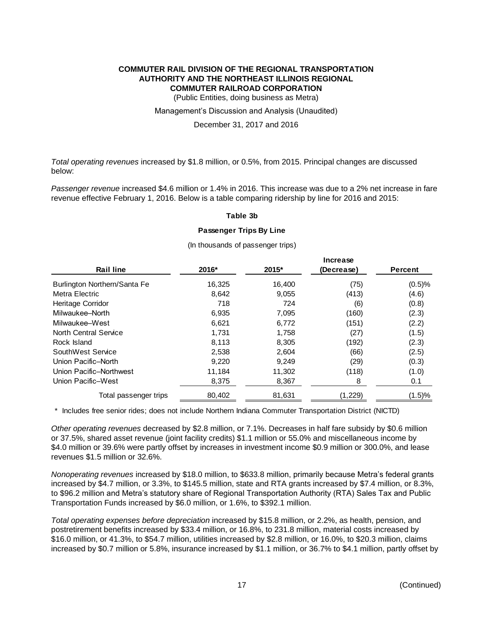(Public Entities, doing business as Metra)

#### Management's Discussion and Analysis (Unaudited)

December 31, 2017 and 2016

*Total operating revenues* increased by \$1.8 million, or 0.5%, from 2015. Principal changes are discussed below:

*Passenger revenue* increased \$4.6 million or 1.4% in 2016. This increase was due to a 2% net increase in fare revenue effective February 1, 2016. Below is a table comparing ridership by line for 2016 and 2015:

#### **Table 3b**

#### **Passenger Trips By Line**

(In thousands of passenger trips)

|                              |        | Increase |            |                |  |  |
|------------------------------|--------|----------|------------|----------------|--|--|
| <b>Rail line</b>             | 2016*  | 2015*    | (Decrease) | <b>Percent</b> |  |  |
| Burlington Northern/Santa Fe | 16,325 | 16,400   | (75)       | (0.5)%         |  |  |
| Metra Electric               | 8,642  | 9,055    | (413)      | (4.6)          |  |  |
| Heritage Corridor            | 718    | 724      | (6)        | (0.8)          |  |  |
| Milwaukee-North              | 6,935  | 7,095    | (160)      | (2.3)          |  |  |
| Milwaukee–West               | 6,621  | 6,772    | (151)      | (2.2)          |  |  |
| North Central Service        | 1.731  | 1,758    | (27)       | (1.5)          |  |  |
| Rock Island                  | 8,113  | 8,305    | (192)      | (2.3)          |  |  |
| SouthWest Service            | 2,538  | 2,604    | (66)       | (2.5)          |  |  |
| Union Pacific-North          | 9,220  | 9,249    | (29)       | (0.3)          |  |  |
| Union Pacific-Northwest      | 11,184 | 11,302   | (118)      | (1.0)          |  |  |
| Union Pacific-West           | 8,375  | 8,367    | 8          | 0.1            |  |  |
| Total passenger trips        | 80,402 | 81,631   | (1,229)    | (1.5)%         |  |  |

\* Includes free senior rides; does not include Northern Indiana Commuter Transportation District (NICTD)

*Other operating revenues* decreased by \$2.8 million, or 7.1%. Decreases in half fare subsidy by \$0.6 million or 37.5%, shared asset revenue (joint facility credits) \$1.1 million or 55.0% and miscellaneous income by \$4.0 million or 39.6% were partly offset by increases in investment income \$0.9 million or 300.0%, and lease revenues \$1.5 million or 32.6%.

*Nonoperating revenues* increased by \$18.0 million, to \$633.8 million, primarily because Metra's federal grants increased by \$4.7 million, or 3.3%, to \$145.5 million, state and RTA grants increased by \$7.4 million, or 8.3%, to \$96.2 million and Metra's statutory share of Regional Transportation Authority (RTA) Sales Tax and Public Transportation Funds increased by \$6.0 million, or 1.6%, to \$392.1 million.

*Total operating expenses before depreciation* increased by \$15.8 million, or 2.2%, as health, pension, and postretirement benefits increased by \$33.4 million, or 16.8%, to 231.8 million, material costs increased by \$16.0 million, or 41.3%, to \$54.7 million, utilities increased by \$2.8 million, or 16.0%, to \$20.3 million, claims increased by \$0.7 million or 5.8%, insurance increased by \$1.1 million, or 36.7% to \$4.1 million, partly offset by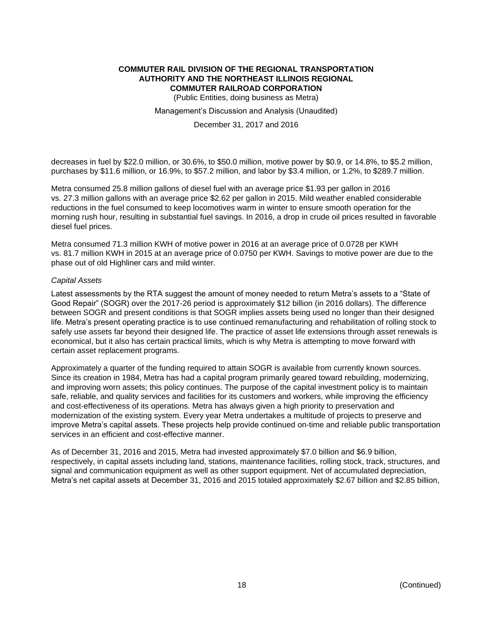(Public Entities, doing business as Metra)

Management's Discussion and Analysis (Unaudited)

December 31, 2017 and 2016

decreases in fuel by \$22.0 million, or 30.6%, to \$50.0 million, motive power by \$0.9, or 14.8%, to \$5.2 million, purchases by \$11.6 million, or 16.9%, to \$57.2 million, and labor by \$3.4 million, or 1.2%, to \$289.7 million.

Metra consumed 25.8 million gallons of diesel fuel with an average price \$1.93 per gallon in 2016 vs. 27.3 million gallons with an average price \$2.62 per gallon in 2015. Mild weather enabled considerable reductions in the fuel consumed to keep locomotives warm in winter to ensure smooth operation for the morning rush hour, resulting in substantial fuel savings. In 2016, a drop in crude oil prices resulted in favorable diesel fuel prices.

Metra consumed 71.3 million KWH of motive power in 2016 at an average price of 0.0728 per KWH vs. 81.7 million KWH in 2015 at an average price of 0.0750 per KWH. Savings to motive power are due to the phase out of old Highliner cars and mild winter.

# *Capital Assets*

Latest assessments by the RTA suggest the amount of money needed to return Metra's assets to a "State of Good Repair" (SOGR) over the 2017-26 period is approximately \$12 billion (in 2016 dollars). The difference between SOGR and present conditions is that SOGR implies assets being used no longer than their designed life. Metra's present operating practice is to use continued remanufacturing and rehabilitation of rolling stock to safely use assets far beyond their designed life. The practice of asset life extensions through asset renewals is economical, but it also has certain practical limits, which is why Metra is attempting to move forward with certain asset replacement programs.

Approximately a quarter of the funding required to attain SOGR is available from currently known sources. Since its creation in 1984, Metra has had a capital program primarily geared toward rebuilding, modernizing, and improving worn assets; this policy continues. The purpose of the capital investment policy is to maintain safe, reliable, and quality services and facilities for its customers and workers, while improving the efficiency and cost-effectiveness of its operations. Metra has always given a high priority to preservation and modernization of the existing system. Every year Metra undertakes a multitude of projects to preserve and improve Metra's capital assets. These projects help provide continued on-time and reliable public transportation services in an efficient and cost-effective manner.

As of December 31, 2016 and 2015, Metra had invested approximately \$7.0 billion and \$6.9 billion, respectively, in capital assets including land, stations, maintenance facilities, rolling stock, track, structures, and signal and communication equipment as well as other support equipment. Net of accumulated depreciation, Metra's net capital assets at December 31, 2016 and 2015 totaled approximately \$2.67 billion and \$2.85 billion,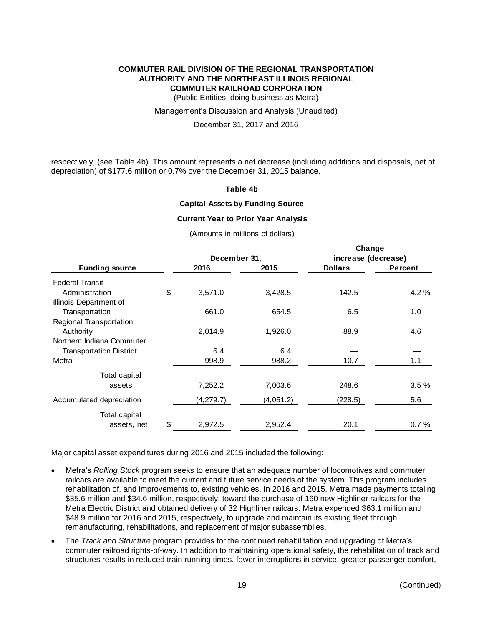(Public Entities, doing business as Metra)

Management's Discussion and Analysis (Unaudited)

December 31, 2017 and 2016

respectively, (see Table 4b). This amount represents a net decrease (including additions and disposals, net of depreciation) of \$177.6 million or 0.7% over the December 31, 2015 balance.

#### **Table 4b**

#### **Capital Assets by Funding Source**

#### **Current Year to Prior Year Analysis**

(Amounts in millions of dollars)

|                                |               |           | Change              |                |  |
|--------------------------------|---------------|-----------|---------------------|----------------|--|
|                                | December 31,  |           | increase (decrease) |                |  |
| <b>Funding source</b>          | 2016          | 2015      | <b>Dollars</b>      | <b>Percent</b> |  |
| <b>Federal Transit</b>         |               |           |                     |                |  |
| Administration                 | \$<br>3,571.0 | 3,428.5   | 142.5               | 4.2%           |  |
| Illinois Department of         |               |           |                     |                |  |
| Transportation                 | 661.0         | 654.5     | 6.5                 | 1.0            |  |
| Regional Transportation        |               |           |                     |                |  |
| Authority                      | 2,014.9       | 1,926.0   | 88.9                | 4.6            |  |
| Northern Indiana Commuter      |               |           |                     |                |  |
| <b>Transportation District</b> | 6.4           | 6.4       |                     |                |  |
| Metra                          | 998.9         | 988.2     | 10.7                | 1.1            |  |
| Total capital                  |               |           |                     |                |  |
| assets                         | 7,252.2       | 7,003.6   | 248.6               | 3.5%           |  |
| Accumulated depreciation       | (4,279.7)     | (4,051.2) | (228.5)             | 5.6            |  |
| <b>Total capital</b>           |               |           |                     |                |  |
| assets, net                    | \$<br>2,972.5 | 2,952.4   | 20.1                | 0.7%           |  |

Major capital asset expenditures during 2016 and 2015 included the following:

- Metra's *Rolling Stock* program seeks to ensure that an adequate number of locomotives and commuter railcars are available to meet the current and future service needs of the system. This program includes rehabilitation of, and improvements to, existing vehicles. In 2016 and 2015, Metra made payments totaling \$35.6 million and \$34.6 million, respectively, toward the purchase of 160 new Highliner railcars for the Metra Electric District and obtained delivery of 32 Highliner railcars. Metra expended \$63.1 million and \$48.9 million for 2016 and 2015, respectively, to upgrade and maintain its existing fleet through remanufacturing, rehabilitations, and replacement of major subassemblies.
- The *Track and Structure* program provides for the continued rehabilitation and upgrading of Metra's commuter railroad rights-of-way. In addition to maintaining operational safety, the rehabilitation of track and structures results in reduced train running times, fewer interruptions in service, greater passenger comfort,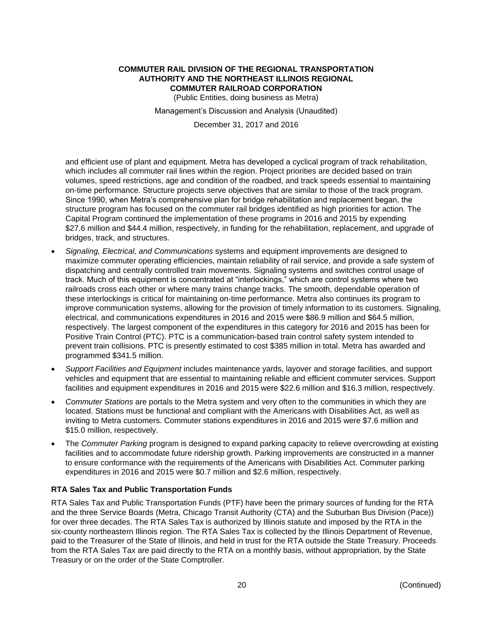(Public Entities, doing business as Metra)

Management's Discussion and Analysis (Unaudited)

December 31, 2017 and 2016

and efficient use of plant and equipment. Metra has developed a cyclical program of track rehabilitation, which includes all commuter rail lines within the region. Project priorities are decided based on train volumes, speed restrictions, age and condition of the roadbed, and track speeds essential to maintaining on-time performance. Structure projects serve objectives that are similar to those of the track program. Since 1990, when Metra's comprehensive plan for bridge rehabilitation and replacement began, the structure program has focused on the commuter rail bridges identified as high priorities for action. The Capital Program continued the implementation of these programs in 2016 and 2015 by expending \$27.6 million and \$44.4 million, respectively, in funding for the rehabilitation, replacement, and upgrade of bridges, track, and structures.

- *Signaling, Electrical, and Communications* systems and equipment improvements are designed to maximize commuter operating efficiencies, maintain reliability of rail service, and provide a safe system of dispatching and centrally controlled train movements. Signaling systems and switches control usage of track. Much of this equipment is concentrated at "interlockings," which are control systems where two railroads cross each other or where many trains change tracks. The smooth, dependable operation of these interlockings is critical for maintaining on-time performance. Metra also continues its program to improve communication systems, allowing for the provision of timely information to its customers. Signaling, electrical, and communications expenditures in 2016 and 2015 were \$86.9 million and \$64.5 million, respectively. The largest component of the expenditures in this category for 2016 and 2015 has been for Positive Train Control (PTC). PTC is a communication-based train control safety system intended to prevent train collisions. PTC is presently estimated to cost \$385 million in total. Metra has awarded and programmed \$341.5 million.
- *Support Facilities and Equipment* includes maintenance yards, layover and storage facilities, and support vehicles and equipment that are essential to maintaining reliable and efficient commuter services. Support facilities and equipment expenditures in 2016 and 2015 were \$22.6 million and \$16.3 million, respectively.
- *Commuter Stations* are portals to the Metra system and very often to the communities in which they are located. Stations must be functional and compliant with the Americans with Disabilities Act, as well as inviting to Metra customers. Commuter stations expenditures in 2016 and 2015 were \$7.6 million and \$15.0 million, respectively.
- The *Commuter Parking* program is designed to expand parking capacity to relieve overcrowding at existing facilities and to accommodate future ridership growth. Parking improvements are constructed in a manner to ensure conformance with the requirements of the Americans with Disabilities Act. Commuter parking expenditures in 2016 and 2015 were \$0.7 million and \$2.6 million, respectively.

# **RTA Sales Tax and Public Transportation Funds**

RTA Sales Tax and Public Transportation Funds (PTF) have been the primary sources of funding for the RTA and the three Service Boards (Metra, Chicago Transit Authority (CTA) and the Suburban Bus Division (Pace)) for over three decades. The RTA Sales Tax is authorized by Illinois statute and imposed by the RTA in the six-county northeastern Illinois region. The RTA Sales Tax is collected by the Illinois Department of Revenue, paid to the Treasurer of the State of Illinois, and held in trust for the RTA outside the State Treasury. Proceeds from the RTA Sales Tax are paid directly to the RTA on a monthly basis, without appropriation, by the State Treasury or on the order of the State Comptroller.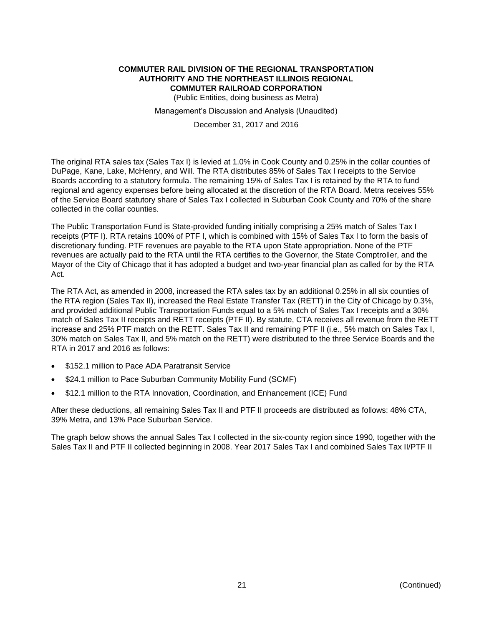(Public Entities, doing business as Metra)

Management's Discussion and Analysis (Unaudited)

December 31, 2017 and 2016

The original RTA sales tax (Sales Tax I) is levied at 1.0% in Cook County and 0.25% in the collar counties of DuPage, Kane, Lake, McHenry, and Will. The RTA distributes 85% of Sales Tax I receipts to the Service Boards according to a statutory formula. The remaining 15% of Sales Tax I is retained by the RTA to fund regional and agency expenses before being allocated at the discretion of the RTA Board. Metra receives 55% of the Service Board statutory share of Sales Tax I collected in Suburban Cook County and 70% of the share collected in the collar counties.

The Public Transportation Fund is State-provided funding initially comprising a 25% match of Sales Tax I receipts (PTF I). RTA retains 100% of PTF I, which is combined with 15% of Sales Tax I to form the basis of discretionary funding. PTF revenues are payable to the RTA upon State appropriation. None of the PTF revenues are actually paid to the RTA until the RTA certifies to the Governor, the State Comptroller, and the Mayor of the City of Chicago that it has adopted a budget and two-year financial plan as called for by the RTA Act.

The RTA Act, as amended in 2008, increased the RTA sales tax by an additional 0.25% in all six counties of the RTA region (Sales Tax II), increased the Real Estate Transfer Tax (RETT) in the City of Chicago by 0.3%, and provided additional Public Transportation Funds equal to a 5% match of Sales Tax I receipts and a 30% match of Sales Tax II receipts and RETT receipts (PTF II). By statute, CTA receives all revenue from the RETT increase and 25% PTF match on the RETT. Sales Tax II and remaining PTF II (i.e., 5% match on Sales Tax I, 30% match on Sales Tax II, and 5% match on the RETT) were distributed to the three Service Boards and the RTA in 2017 and 2016 as follows:

- \$152.1 million to Pace ADA Paratransit Service
- \$24.1 million to Pace Suburban Community Mobility Fund (SCMF)
- \$12.1 million to the RTA Innovation, Coordination, and Enhancement (ICE) Fund

After these deductions, all remaining Sales Tax II and PTF II proceeds are distributed as follows: 48% CTA, 39% Metra, and 13% Pace Suburban Service.

The graph below shows the annual Sales Tax I collected in the six-county region since 1990, together with the Sales Tax II and PTF II collected beginning in 2008. Year 2017 Sales Tax I and combined Sales Tax II/PTF II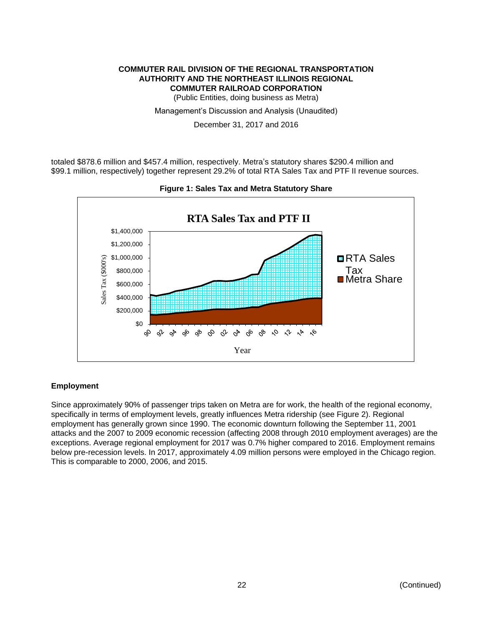(Public Entities, doing business as Metra)

Management's Discussion and Analysis (Unaudited)

December 31, 2017 and 2016

totaled \$878.6 million and \$457.4 million, respectively. Metra's statutory shares \$290.4 million and \$99.1 million, respectively) together represent 29.2% of total RTA Sales Tax and PTF II revenue sources.



# **Figure 1: Sales Tax and Metra Statutory Share**

# **Employment**

Since approximately 90% of passenger trips taken on Metra are for work, the health of the regional economy, specifically in terms of employment levels, greatly influences Metra ridership (see Figure 2). Regional employment has generally grown since 1990. The economic downturn following the September 11, 2001 attacks and the 2007 to 2009 economic recession (affecting 2008 through 2010 employment averages) are the exceptions. Average regional employment for 2017 was 0.7% higher compared to 2016. Employment remains below pre-recession levels. In 2017, approximately 4.09 million persons were employed in the Chicago region. This is comparable to 2000, 2006, and 2015.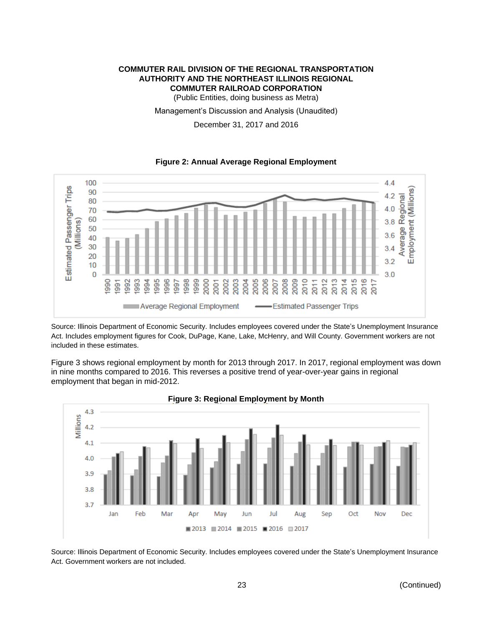(Public Entities, doing business as Metra)

Management's Discussion and Analysis (Unaudited)

December 31, 2017 and 2016

# **Figure 2: Annual Average Regional Employment**



Source: Illinois Department of Economic Security. Includes employees covered under the State's Unemployment Insurance Act. Includes employment figures for Cook, DuPage, Kane, Lake, McHenry, and Will County. Government workers are not included in these estimates.

Figure 3 shows regional employment by month for 2013 through 2017. In 2017, regional employment was down in nine months compared to 2016. This reverses a positive trend of year-over-year gains in regional employment that began in mid-2012.



**Figure 3: Regional Employment by Month**

Source: Illinois Department of Economic Security. Includes employees covered under the State's Unemployment Insurance Act. Government workers are not included.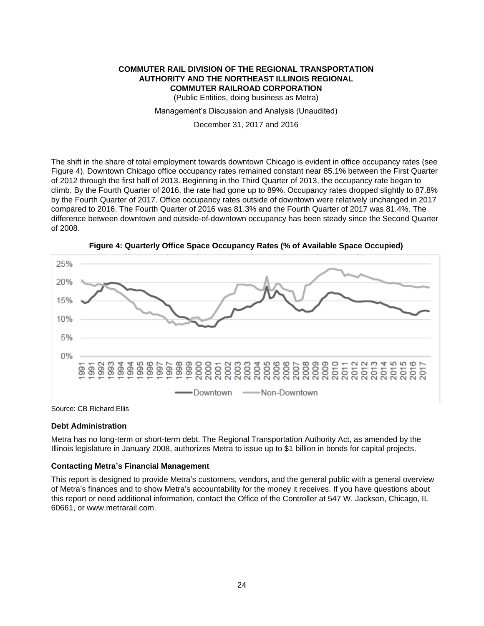(Public Entities, doing business as Metra)

Management's Discussion and Analysis (Unaudited)

December 31, 2017 and 2016

The shift in the share of total employment towards downtown Chicago is evident in office occupancy rates (see Figure 4). Downtown Chicago office occupancy rates remained constant near 85.1% between the First Quarter of 2012 through the first half of 2013. Beginning in the Third Quarter of 2013, the occupancy rate began to climb. By the Fourth Quarter of 2016, the rate had gone up to 89%. Occupancy rates dropped slightly to 87.8% by the Fourth Quarter of 2017. Office occupancy rates outside of downtown were relatively unchanged in 2017 compared to 2016. The Fourth Quarter of 2016 was 81.3% and the Fourth Quarter of 2017 was 81.4%. The difference between downtown and outside-of-downtown occupancy has been steady since the Second Quarter of 2008.



**Figure 4: Quarterly Office Space Occupancy Rates (% of Available Space Occupied)**

**Debt Administration**

Metra has no long-term or short-term debt. The Regional Transportation Authority Act, as amended by the Illinois legislature in January 2008, authorizes Metra to issue up to \$1 billion in bonds for capital projects.

# **Contacting Metra's Financial Management**

This report is designed to provide Metra's customers, vendors, and the general public with a general overview of Metra's finances and to show Metra's accountability for the money it receives. If you have questions about this report or need additional information, contact the Office of the Controller at 547 W. Jackson, Chicago, IL 60661, or www.metrarail.com.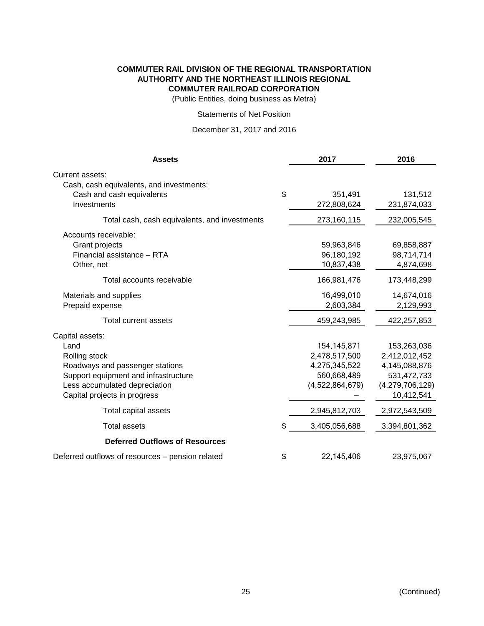(Public Entities, doing business as Metra)

Statements of Net Position

December 31, 2017 and 2016

| <b>Assets</b>                                                                                                                                                                        | 2017                                                                              | 2016                                                                                          |
|--------------------------------------------------------------------------------------------------------------------------------------------------------------------------------------|-----------------------------------------------------------------------------------|-----------------------------------------------------------------------------------------------|
| Current assets:                                                                                                                                                                      |                                                                                   |                                                                                               |
| Cash, cash equivalents, and investments:<br>Cash and cash equivalents<br>Investments                                                                                                 | \$<br>351,491<br>272,808,624                                                      | 131,512<br>231,874,033                                                                        |
| Total cash, cash equivalents, and investments                                                                                                                                        | 273,160,115                                                                       | 232,005,545                                                                                   |
| Accounts receivable:<br>Grant projects<br>Financial assistance - RTA<br>Other, net                                                                                                   | 59,963,846<br>96,180,192<br>10,837,438                                            | 69,858,887<br>98,714,714<br>4,874,698                                                         |
| Total accounts receivable                                                                                                                                                            | 166,981,476                                                                       | 173,448,299                                                                                   |
| Materials and supplies<br>Prepaid expense                                                                                                                                            | 16,499,010<br>2,603,384                                                           | 14,674,016<br>2,129,993                                                                       |
| <b>Total current assets</b>                                                                                                                                                          | 459,243,985                                                                       | 422,257,853                                                                                   |
| Capital assets:<br>Land<br>Rolling stock<br>Roadways and passenger stations<br>Support equipment and infrastructure<br>Less accumulated depreciation<br>Capital projects in progress | 154, 145, 871<br>2,478,517,500<br>4,275,345,522<br>560,668,489<br>(4,522,864,679) | 153,263,036<br>2,412,012,452<br>4,145,088,876<br>531,472,733<br>(4,279,706,129)<br>10,412,541 |
| Total capital assets                                                                                                                                                                 | 2,945,812,703                                                                     | 2,972,543,509                                                                                 |
| <b>Total assets</b>                                                                                                                                                                  | \$<br>3,405,056,688                                                               | 3,394,801,362                                                                                 |
| <b>Deferred Outflows of Resources</b>                                                                                                                                                |                                                                                   |                                                                                               |
| Deferred outflows of resources - pension related                                                                                                                                     | \$<br>22,145,406                                                                  | 23,975,067                                                                                    |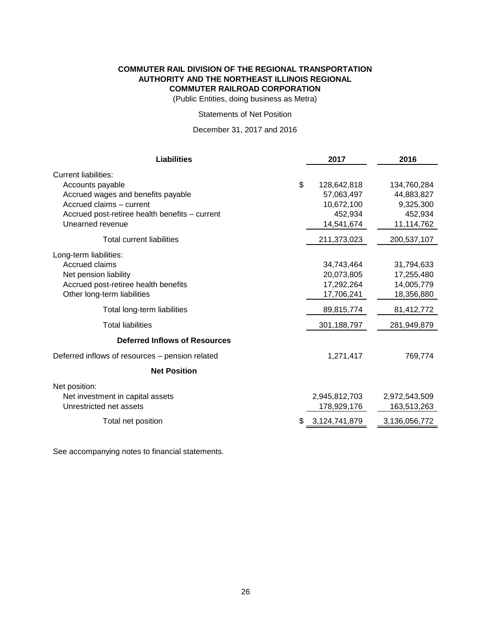(Public Entities, doing business as Metra)

Statements of Net Position

December 31, 2017 and 2016

| <b>Liabilities</b>                              | 2017                | 2016          |
|-------------------------------------------------|---------------------|---------------|
| <b>Current liabilities:</b>                     |                     |               |
| Accounts payable                                | \$<br>128,642,818   | 134,760,284   |
| Accrued wages and benefits payable              | 57,063,497          | 44,883,827    |
| Accrued claims - current                        | 10,672,100          | 9,325,300     |
| Accrued post-retiree health benefits - current  | 452,934             | 452,934       |
| Unearned revenue                                | 14,541,674          | 11,114,762    |
| <b>Total current liabilities</b>                | 211,373,023         | 200,537,107   |
| Long-term liabilities:                          |                     |               |
| Accrued claims                                  | 34,743,464          | 31,794,633    |
| Net pension liability                           | 20,073,805          | 17,255,480    |
| Accrued post-retiree health benefits            | 17,292,264          | 14,005,779    |
| Other long-term liabilities                     | 17,706,241          | 18,356,880    |
| Total long-term liabilities                     | 89,815,774          | 81,412,772    |
| <b>Total liabilities</b>                        | 301,188,797         | 281,949,879   |
| <b>Deferred Inflows of Resources</b>            |                     |               |
| Deferred inflows of resources – pension related | 1,271,417           | 769,774       |
| <b>Net Position</b>                             |                     |               |
| Net position:                                   |                     |               |
| Net investment in capital assets                | 2,945,812,703       | 2,972,543,509 |
| Unrestricted net assets                         | 178,929,176         | 163,513,263   |
| Total net position                              | \$<br>3,124,741,879 | 3,136,056,772 |

See accompanying notes to financial statements.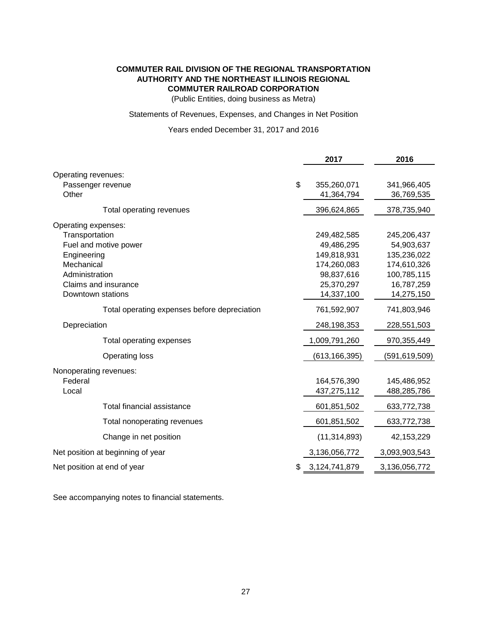(Public Entities, doing business as Metra)

Statements of Revenues, Expenses, and Changes in Net Position

Years ended December 31, 2017 and 2016

|                                              | 2017                | 2016          |
|----------------------------------------------|---------------------|---------------|
| Operating revenues:                          |                     |               |
| Passenger revenue                            | \$<br>355,260,071   | 341,966,405   |
| Other                                        | 41,364,794          | 36,769,535    |
| Total operating revenues                     | 396,624,865         | 378,735,940   |
| Operating expenses:                          |                     |               |
| Transportation                               | 249,482,585         | 245,206,437   |
| Fuel and motive power                        | 49,486,295          | 54,903,637    |
| Engineering                                  | 149,818,931         | 135,236,022   |
| Mechanical                                   | 174,260,083         | 174,610,326   |
| Administration                               | 98,837,616          | 100,785,115   |
| Claims and insurance                         | 25,370,297          | 16,787,259    |
| Downtown stations                            | 14,337,100          | 14,275,150    |
| Total operating expenses before depreciation | 761,592,907         | 741,803,946   |
| Depreciation                                 | 248,198,353         | 228,551,503   |
| Total operating expenses                     | 1,009,791,260       | 970,355,449   |
| <b>Operating loss</b>                        | (613, 166, 395)     | (591,619,509) |
| Nonoperating revenues:                       |                     |               |
| Federal                                      | 164,576,390         | 145,486,952   |
| Local                                        | 437,275,112         | 488,285,786   |
| Total financial assistance                   | 601,851,502         | 633,772,738   |
| Total nonoperating revenues                  | 601,851,502         | 633,772,738   |
| Change in net position                       | (11, 314, 893)      | 42,153,229    |
| Net position at beginning of year            | 3,136,056,772       | 3,093,903,543 |
| Net position at end of year                  | \$<br>3,124,741,879 | 3,136,056,772 |

See accompanying notes to financial statements.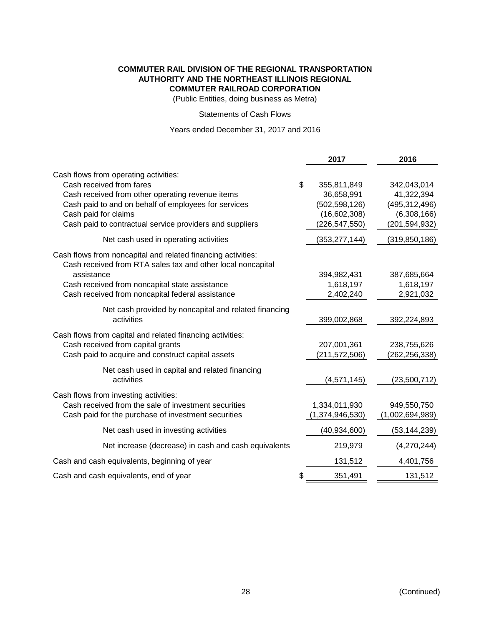(Public Entities, doing business as Metra)

# Statements of Cash Flows

Years ended December 31, 2017 and 2016

|                                                                                                                                                                                                                                                                   | 2017                                                                                  | 2016                                                                         |
|-------------------------------------------------------------------------------------------------------------------------------------------------------------------------------------------------------------------------------------------------------------------|---------------------------------------------------------------------------------------|------------------------------------------------------------------------------|
| Cash flows from operating activities:<br>Cash received from fares<br>Cash received from other operating revenue items<br>Cash paid to and on behalf of employees for services<br>Cash paid for claims<br>Cash paid to contractual service providers and suppliers | \$<br>355,811,849<br>36,658,991<br>(502, 598, 126)<br>(16,602,308)<br>(226, 547, 550) | 342,043,014<br>41,322,394<br>(495, 312, 496)<br>(6,308,166)<br>(201,594,932) |
| Net cash used in operating activities                                                                                                                                                                                                                             | (353, 277, 144)                                                                       | (319, 850, 186)                                                              |
| Cash flows from noncapital and related financing activities:<br>Cash received from RTA sales tax and other local noncapital<br>assistance<br>Cash received from noncapital state assistance<br>Cash received from noncapital federal assistance                   | 394,982,431<br>1,618,197<br>2,402,240                                                 | 387,685,664<br>1,618,197<br>2,921,032                                        |
| Net cash provided by noncapital and related financing<br>activities                                                                                                                                                                                               | 399,002,868                                                                           | 392,224,893                                                                  |
| Cash flows from capital and related financing activities:<br>Cash received from capital grants<br>Cash paid to acquire and construct capital assets                                                                                                               | 207,001,361<br>(211, 572, 506)                                                        | 238,755,626<br>(262,256,338)                                                 |
| Net cash used in capital and related financing<br>activities                                                                                                                                                                                                      | (4, 571, 145)                                                                         | (23,500,712)                                                                 |
| Cash flows from investing activities:<br>Cash received from the sale of investment securities<br>Cash paid for the purchase of investment securities                                                                                                              | 1,334,011,930<br>(1,374,946,530)                                                      | 949,550,750<br>(1,002,694,989)                                               |
| Net cash used in investing activities                                                                                                                                                                                                                             | (40,934,600)                                                                          | (53, 144, 239)                                                               |
| Net increase (decrease) in cash and cash equivalents                                                                                                                                                                                                              | 219,979                                                                               | (4,270,244)                                                                  |
| Cash and cash equivalents, beginning of year                                                                                                                                                                                                                      | 131,512                                                                               | 4,401,756                                                                    |
| Cash and cash equivalents, end of year                                                                                                                                                                                                                            | \$<br>351,491                                                                         | 131,512                                                                      |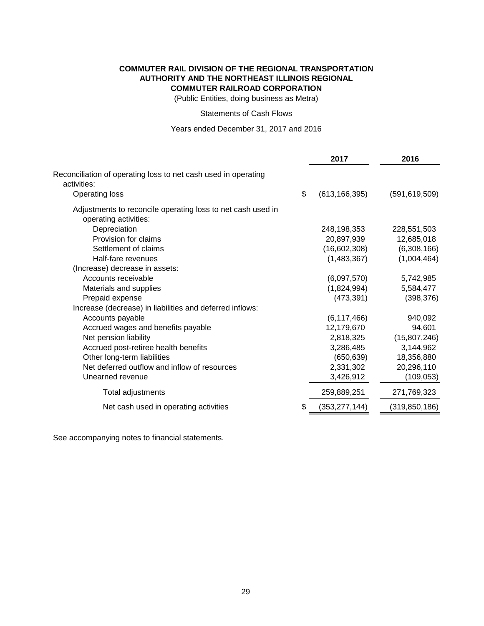(Public Entities, doing business as Metra)

# Statements of Cash Flows

# Years ended December 31, 2017 and 2016

|                                                                                      | 2017                  | 2016            |
|--------------------------------------------------------------------------------------|-----------------------|-----------------|
| Reconciliation of operating loss to net cash used in operating<br>activities:        |                       |                 |
| <b>Operating loss</b>                                                                | \$<br>(613, 166, 395) | (591, 619, 509) |
| Adjustments to reconcile operating loss to net cash used in<br>operating activities: |                       |                 |
| Depreciation                                                                         | 248,198,353           | 228,551,503     |
| Provision for claims                                                                 | 20,897,939            | 12,685,018      |
| Settlement of claims                                                                 | (16,602,308)          | (6,308,166)     |
| Half-fare revenues                                                                   | (1,483,367)           | (1,004,464)     |
| (Increase) decrease in assets:                                                       |                       |                 |
| Accounts receivable                                                                  | (6,097,570)           | 5,742,985       |
| Materials and supplies                                                               | (1,824,994)           | 5,584,477       |
| Prepaid expense                                                                      | (473, 391)            | (398, 376)      |
| Increase (decrease) in liabilities and deferred inflows:                             |                       |                 |
| Accounts payable                                                                     | (6, 117, 466)         | 940,092         |
| Accrued wages and benefits payable                                                   | 12,179,670            | 94,601          |
| Net pension liability                                                                | 2,818,325             | (15,807,246)    |
| Accrued post-retiree health benefits                                                 | 3,286,485             | 3,144,962       |
| Other long-term liabilities                                                          | (650, 639)            | 18,356,880      |
| Net deferred outflow and inflow of resources                                         | 2,331,302             | 20,296,110      |
| Unearned revenue                                                                     | 3,426,912             | (109,053)       |
| Total adjustments                                                                    | 259,889,251           | 271,769,323     |
| Net cash used in operating activities                                                | \$<br>(353, 277, 144) | (319, 850, 186) |

See accompanying notes to financial statements.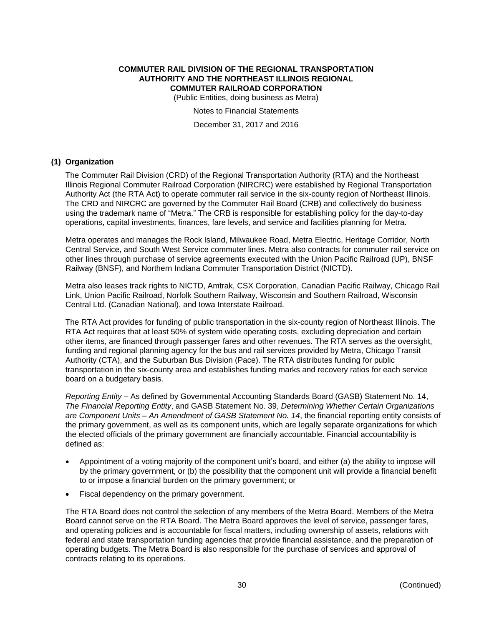(Public Entities, doing business as Metra)

Notes to Financial Statements

December 31, 2017 and 2016

# **(1) Organization**

The Commuter Rail Division (CRD) of the Regional Transportation Authority (RTA) and the Northeast Illinois Regional Commuter Railroad Corporation (NIRCRC) were established by Regional Transportation Authority Act (the RTA Act) to operate commuter rail service in the six-county region of Northeast Illinois. The CRD and NIRCRC are governed by the Commuter Rail Board (CRB) and collectively do business using the trademark name of "Metra." The CRB is responsible for establishing policy for the day-to-day operations, capital investments, finances, fare levels, and service and facilities planning for Metra.

Metra operates and manages the Rock Island, Milwaukee Road, Metra Electric, Heritage Corridor, North Central Service, and South West Service commuter lines. Metra also contracts for commuter rail service on other lines through purchase of service agreements executed with the Union Pacific Railroad (UP), BNSF Railway (BNSF), and Northern Indiana Commuter Transportation District (NICTD).

Metra also leases track rights to NICTD, Amtrak, CSX Corporation, Canadian Pacific Railway, Chicago Rail Link, Union Pacific Railroad, Norfolk Southern Railway, Wisconsin and Southern Railroad, Wisconsin Central Ltd. (Canadian National), and Iowa Interstate Railroad.

The RTA Act provides for funding of public transportation in the six-county region of Northeast Illinois. The RTA Act requires that at least 50% of system wide operating costs, excluding depreciation and certain other items, are financed through passenger fares and other revenues. The RTA serves as the oversight, funding and regional planning agency for the bus and rail services provided by Metra, Chicago Transit Authority (CTA), and the Suburban Bus Division (Pace). The RTA distributes funding for public transportation in the six-county area and establishes funding marks and recovery ratios for each service board on a budgetary basis.

*Reporting Entity* – As defined by Governmental Accounting Standards Board (GASB) Statement No. 14, *The Financial Reporting Entity*, and GASB Statement No. 39, *Determining Whether Certain Organizations are Component Units – An Amendment of GASB Statement No. 14*, the financial reporting entity consists of the primary government, as well as its component units, which are legally separate organizations for which the elected officials of the primary government are financially accountable. Financial accountability is defined as:

- Appointment of a voting majority of the component unit's board, and either (a) the ability to impose will by the primary government, or (b) the possibility that the component unit will provide a financial benefit to or impose a financial burden on the primary government; or
- Fiscal dependency on the primary government.

The RTA Board does not control the selection of any members of the Metra Board. Members of the Metra Board cannot serve on the RTA Board. The Metra Board approves the level of service, passenger fares, and operating policies and is accountable for fiscal matters, including ownership of assets, relations with federal and state transportation funding agencies that provide financial assistance, and the preparation of operating budgets. The Metra Board is also responsible for the purchase of services and approval of contracts relating to its operations.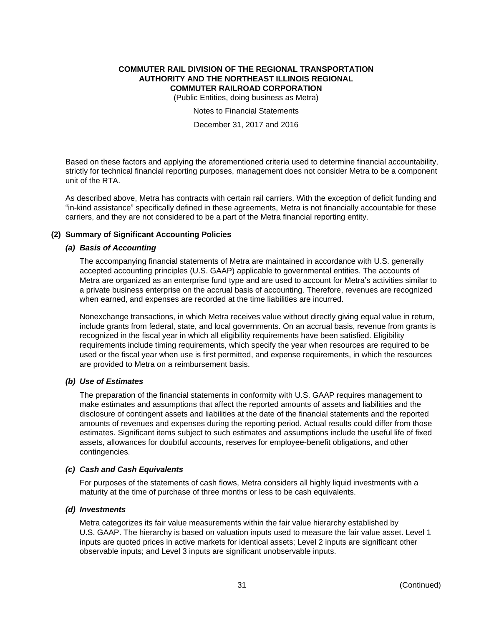(Public Entities, doing business as Metra)

Notes to Financial Statements

December 31, 2017 and 2016

Based on these factors and applying the aforementioned criteria used to determine financial accountability, strictly for technical financial reporting purposes, management does not consider Metra to be a component unit of the RTA

As described above, Metra has contracts with certain rail carriers. With the exception of deficit funding and "in-kind assistance" specifically defined in these agreements, Metra is not financially accountable for these carriers, and they are not considered to be a part of the Metra financial reporting entity.

# **(2) Summary of Significant Accounting Policies**

# *(a) Basis of Accounting*

The accompanying financial statements of Metra are maintained in accordance with U.S. generally accepted accounting principles (U.S. GAAP) applicable to governmental entities. The accounts of Metra are organized as an enterprise fund type and are used to account for Metra's activities similar to a private business enterprise on the accrual basis of accounting. Therefore, revenues are recognized when earned, and expenses are recorded at the time liabilities are incurred.

Nonexchange transactions, in which Metra receives value without directly giving equal value in return, include grants from federal, state, and local governments. On an accrual basis, revenue from grants is recognized in the fiscal year in which all eligibility requirements have been satisfied. Eligibility requirements include timing requirements, which specify the year when resources are required to be used or the fiscal year when use is first permitted, and expense requirements, in which the resources are provided to Metra on a reimbursement basis.

# *(b) Use of Estimates*

The preparation of the financial statements in conformity with U.S. GAAP requires management to make estimates and assumptions that affect the reported amounts of assets and liabilities and the disclosure of contingent assets and liabilities at the date of the financial statements and the reported amounts of revenues and expenses during the reporting period. Actual results could differ from those estimates. Significant items subject to such estimates and assumptions include the useful life of fixed assets, allowances for doubtful accounts, reserves for employee-benefit obligations, and other contingencies.

# *(c) Cash and Cash Equivalents*

For purposes of the statements of cash flows, Metra considers all highly liquid investments with a maturity at the time of purchase of three months or less to be cash equivalents.

# *(d) Investments*

Metra categorizes its fair value measurements within the fair value hierarchy established by U.S. GAAP. The hierarchy is based on valuation inputs used to measure the fair value asset. Level 1 inputs are quoted prices in active markets for identical assets; Level 2 inputs are significant other observable inputs; and Level 3 inputs are significant unobservable inputs.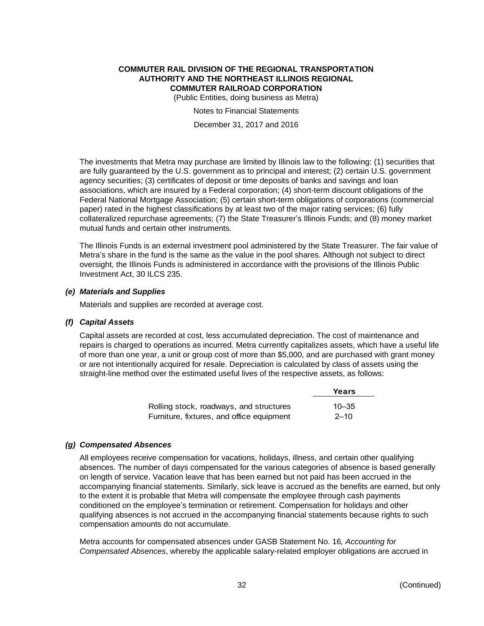(Public Entities, doing business as Metra)

Notes to Financial Statements

December 31, 2017 and 2016

The investments that Metra may purchase are limited by Illinois law to the following: (1) securities that are fully guaranteed by the U.S. government as to principal and interest; (2) certain U.S. government agency securities; (3) certificates of deposit or time deposits of banks and savings and loan associations, which are insured by a Federal corporation; (4) short-term discount obligations of the Federal National Mortgage Association; (5) certain short-term obligations of corporations (commercial paper) rated in the highest classifications by at least two of the major rating services; (6) fully collateralized repurchase agreements; (7) the State Treasurer's Illinois Funds; and (8) money market mutual funds and certain other instruments.

The Illinois Funds is an external investment pool administered by the State Treasurer. The fair value of Metra's share in the fund is the same as the value in the pool shares. Although not subject to direct oversight, the Illinois Funds is administered in accordance with the provisions of the Illinois Public Investment Act, 30 ILCS 235.

# *(e) Materials and Supplies*

Materials and supplies are recorded at average cost.

# *(f) Capital Assets*

Capital assets are recorded at cost, less accumulated depreciation. The cost of maintenance and repairs is charged to operations as incurred. Metra currently capitalizes assets, which have a useful life of more than one year, a unit or group cost of more than \$5,000, and are purchased with grant money or are not intentionally acquired for resale. Depreciation is calculated by class of assets using the straight-line method over the estimated useful lives of the respective assets, as follows:

|                                           | Years     |
|-------------------------------------------|-----------|
| Rolling stock, roadways, and structures   | $10 - 35$ |
| Furniture, fixtures, and office equipment | $2 - 10$  |

# *(g) Compensated Absences*

All employees receive compensation for vacations, holidays, illness, and certain other qualifying absences. The number of days compensated for the various categories of absence is based generally on length of service. Vacation leave that has been earned but not paid has been accrued in the accompanying financial statements. Similarly, sick leave is accrued as the benefits are earned, but only to the extent it is probable that Metra will compensate the employee through cash payments conditioned on the employee's termination or retirement. Compensation for holidays and other qualifying absences is not accrued in the accompanying financial statements because rights to such compensation amounts do not accumulate.

Metra accounts for compensated absences under GASB Statement No. 16*, Accounting for Compensated Absences*, whereby the applicable salary-related employer obligations are accrued in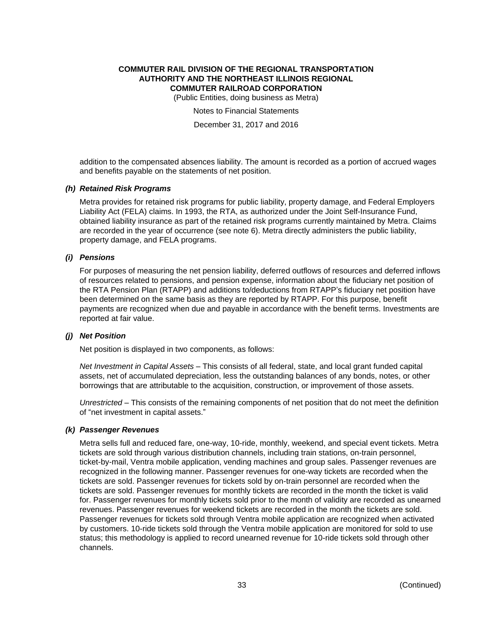(Public Entities, doing business as Metra)

Notes to Financial Statements

December 31, 2017 and 2016

addition to the compensated absences liability. The amount is recorded as a portion of accrued wages and benefits payable on the statements of net position.

# *(h) Retained Risk Programs*

Metra provides for retained risk programs for public liability, property damage, and Federal Employers Liability Act (FELA) claims. In 1993, the RTA, as authorized under the Joint Self-Insurance Fund, obtained liability insurance as part of the retained risk programs currently maintained by Metra. Claims are recorded in the year of occurrence (see note 6). Metra directly administers the public liability, property damage, and FELA programs.

#### *(i) Pensions*

For purposes of measuring the net pension liability, deferred outflows of resources and deferred inflows of resources related to pensions, and pension expense, information about the fiduciary net position of the RTA Pension Plan (RTAPP) and additions to/deductions from RTAPP's fiduciary net position have been determined on the same basis as they are reported by RTAPP. For this purpose, benefit payments are recognized when due and payable in accordance with the benefit terms. Investments are reported at fair value.

# *(j) Net Position*

Net position is displayed in two components, as follows:

*Net Investment in Capital Assets* – This consists of all federal, state, and local grant funded capital assets, net of accumulated depreciation, less the outstanding balances of any bonds, notes, or other borrowings that are attributable to the acquisition, construction, or improvement of those assets.

*Unrestricted* – This consists of the remaining components of net position that do not meet the definition of "net investment in capital assets."

# *(k) Passenger Revenues*

Metra sells full and reduced fare, one-way, 10-ride, monthly, weekend, and special event tickets. Metra tickets are sold through various distribution channels, including train stations, on-train personnel, ticket-by-mail, Ventra mobile application, vending machines and group sales. Passenger revenues are recognized in the following manner. Passenger revenues for one-way tickets are recorded when the tickets are sold. Passenger revenues for tickets sold by on-train personnel are recorded when the tickets are sold. Passenger revenues for monthly tickets are recorded in the month the ticket is valid for. Passenger revenues for monthly tickets sold prior to the month of validity are recorded as unearned revenues. Passenger revenues for weekend tickets are recorded in the month the tickets are sold. Passenger revenues for tickets sold through Ventra mobile application are recognized when activated by customers. 10-ride tickets sold through the Ventra mobile application are monitored for sold to use status; this methodology is applied to record unearned revenue for 10-ride tickets sold through other channels.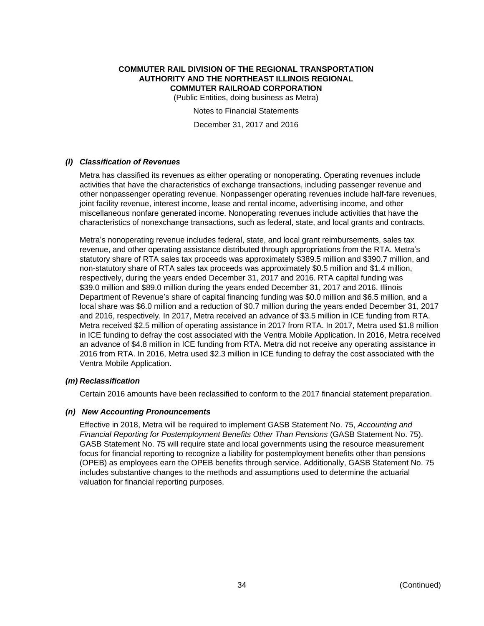(Public Entities, doing business as Metra)

Notes to Financial Statements

December 31, 2017 and 2016

# *(l) Classification of Revenues*

Metra has classified its revenues as either operating or nonoperating. Operating revenues include activities that have the characteristics of exchange transactions, including passenger revenue and other nonpassenger operating revenue. Nonpassenger operating revenues include half-fare revenues, joint facility revenue, interest income, lease and rental income, advertising income, and other miscellaneous nonfare generated income. Nonoperating revenues include activities that have the characteristics of nonexchange transactions, such as federal, state, and local grants and contracts.

Metra's nonoperating revenue includes federal, state, and local grant reimbursements, sales tax revenue, and other operating assistance distributed through appropriations from the RTA. Metra's statutory share of RTA sales tax proceeds was approximately \$389.5 million and \$390.7 million, and non-statutory share of RTA sales tax proceeds was approximately \$0.5 million and \$1.4 million, respectively, during the years ended December 31, 2017 and 2016. RTA capital funding was \$39.0 million and \$89.0 million during the years ended December 31, 2017 and 2016. Illinois Department of Revenue's share of capital financing funding was \$0.0 million and \$6.5 million, and a local share was \$6.0 million and a reduction of \$0.7 million during the years ended December 31, 2017 and 2016, respectively. In 2017, Metra received an advance of \$3.5 million in ICE funding from RTA. Metra received \$2.5 million of operating assistance in 2017 from RTA. In 2017, Metra used \$1.8 million in ICE funding to defray the cost associated with the Ventra Mobile Application. In 2016, Metra received an advance of \$4.8 million in ICE funding from RTA. Metra did not receive any operating assistance in 2016 from RTA. In 2016, Metra used \$2.3 million in ICE funding to defray the cost associated with the Ventra Mobile Application.

# *(m) Reclassification*

Certain 2016 amounts have been reclassified to conform to the 2017 financial statement preparation.

# *(n) New Accounting Pronouncements*

Effective in 2018, Metra will be required to implement GASB Statement No. 75, *Accounting and Financial Reporting for Postemployment Benefits Other Than Pensions* (GASB Statement No. 75). GASB Statement No. 75 will require state and local governments using the resource measurement focus for financial reporting to recognize a liability for postemployment benefits other than pensions (OPEB) as employees earn the OPEB benefits through service. Additionally, GASB Statement No. 75 includes substantive changes to the methods and assumptions used to determine the actuarial valuation for financial reporting purposes.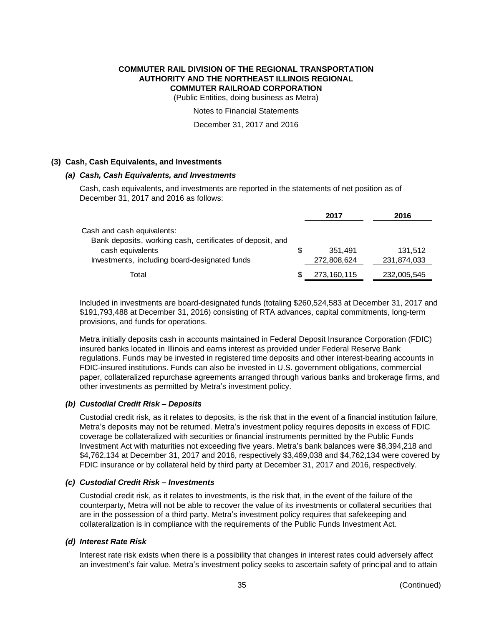(Public Entities, doing business as Metra)

Notes to Financial Statements

December 31, 2017 and 2016

# **(3) Cash, Cash Equivalents, and Investments**

# *(a) Cash, Cash Equivalents, and Investments*

Cash, cash equivalents, and investments are reported in the statements of net position as of December 31, 2017 and 2016 as follows:

|                                                           | 2017          | 2016        |
|-----------------------------------------------------------|---------------|-------------|
| Cash and cash equivalents:                                |               |             |
| Bank deposits, working cash, certificates of deposit, and |               |             |
| cash equivalents                                          | \$<br>351.491 | 131,512     |
| Investments, including board-designated funds             | 272,808,624   | 231,874,033 |
| Total                                                     | 273, 160, 115 | 232,005,545 |

Included in investments are board-designated funds (totaling \$260,524,583 at December 31, 2017 and \$191,793,488 at December 31, 2016) consisting of RTA advances, capital commitments, long-term provisions, and funds for operations.

Metra initially deposits cash in accounts maintained in Federal Deposit Insurance Corporation (FDIC) insured banks located in Illinois and earns interest as provided under Federal Reserve Bank regulations. Funds may be invested in registered time deposits and other interest-bearing accounts in FDIC-insured institutions. Funds can also be invested in U.S. government obligations, commercial paper, collateralized repurchase agreements arranged through various banks and brokerage firms, and other investments as permitted by Metra's investment policy.

# *(b) Custodial Credit Risk – Deposits*

Custodial credit risk, as it relates to deposits, is the risk that in the event of a financial institution failure, Metra's deposits may not be returned. Metra's investment policy requires deposits in excess of FDIC coverage be collateralized with securities or financial instruments permitted by the Public Funds Investment Act with maturities not exceeding five years. Metra's bank balances were \$8,394,218 and \$4,762,134 at December 31, 2017 and 2016, respectively \$3,469,038 and \$4,762,134 were covered by FDIC insurance or by collateral held by third party at December 31, 2017 and 2016, respectively.

# *(c) Custodial Credit Risk – Investments*

Custodial credit risk, as it relates to investments, is the risk that, in the event of the failure of the counterparty, Metra will not be able to recover the value of its investments or collateral securities that are in the possession of a third party. Metra's investment policy requires that safekeeping and collateralization is in compliance with the requirements of the Public Funds Investment Act.

# *(d) Interest Rate Risk*

Interest rate risk exists when there is a possibility that changes in interest rates could adversely affect an investment's fair value. Metra's investment policy seeks to ascertain safety of principal and to attain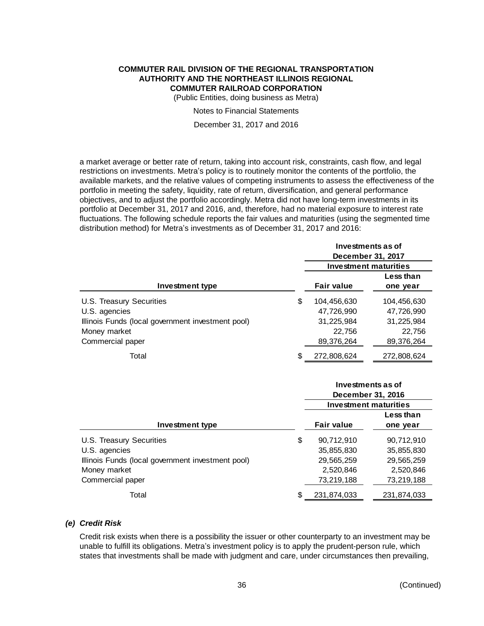(Public Entities, doing business as Metra)

Notes to Financial Statements

December 31, 2017 and 2016

a market average or better rate of return, taking into account risk, constraints, cash flow, and legal restrictions on investments. Metra's policy is to routinely monitor the contents of the portfolio, the available markets, and the relative values of competing instruments to assess the effectiveness of the portfolio in meeting the safety, liquidity, rate of return, diversification, and general performance objectives, and to adjust the portfolio accordingly. Metra did not have long-term investments in its portfolio at December 31, 2017 and 2016, and, therefore, had no material exposure to interest rate fluctuations. The following schedule reports the fair values and maturities (using the segmented time distribution method) for Metra's investments as of December 31, 2017 and 2016:

|                                                   |    | Investments as of<br>December 31, 2017 |                       |  |  |
|---------------------------------------------------|----|----------------------------------------|-----------------------|--|--|
|                                                   |    | <b>Investment maturities</b>           |                       |  |  |
| Investment type                                   |    | <b>Fair value</b>                      | Less than<br>one year |  |  |
| U.S. Treasury Securities                          | \$ | 104,456,630                            | 104,456,630           |  |  |
| U.S. agencies                                     |    | 47,726,990                             | 47,726,990            |  |  |
| Illinois Funds (local government investment pool) |    | 31,225,984                             | 31,225,984            |  |  |
| Money market                                      |    | 22,756                                 | 22,756                |  |  |
| Commercial paper                                  |    | 89,376,264                             | 89,376,264            |  |  |
| Total                                             | S  | 272,808,624                            | 272,808,624           |  |  |

|                                                   | Investments as of<br>December 31, 2016 |             |  |  |
|---------------------------------------------------|----------------------------------------|-------------|--|--|
|                                                   | <b>Investment maturities</b>           |             |  |  |
|                                                   |                                        | Less than   |  |  |
| Investment type                                   | <b>Fair value</b>                      | one year    |  |  |
| U.S. Treasury Securities                          | \$<br>90,712,910                       | 90,712,910  |  |  |
| U.S. agencies                                     | 35,855,830                             | 35,855,830  |  |  |
| Illinois Funds (local government investment pool) | 29,565,259                             | 29,565,259  |  |  |
| Money market                                      | 2,520,846                              | 2,520,846   |  |  |
| Commercial paper                                  | 73,219,188                             | 73,219,188  |  |  |
| Total                                             | \$<br>231,874,033                      | 231,874,033 |  |  |

# *(e) Credit Risk*

Credit risk exists when there is a possibility the issuer or other counterparty to an investment may be unable to fulfill its obligations. Metra's investment policy is to apply the prudent-person rule, which states that investments shall be made with judgment and care, under circumstances then prevailing,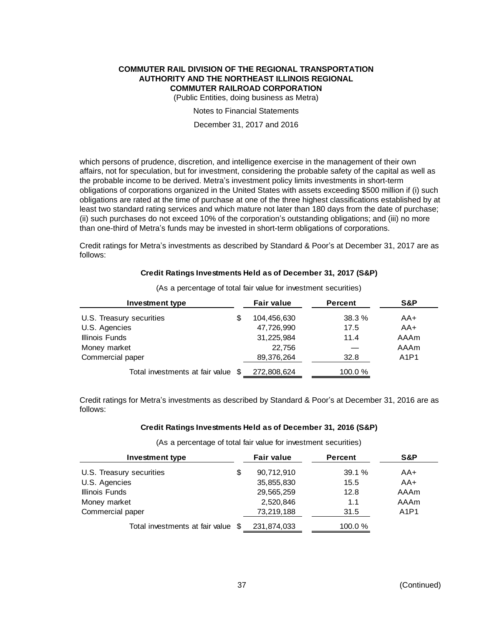(Public Entities, doing business as Metra)

Notes to Financial Statements

December 31, 2017 and 2016

which persons of prudence, discretion, and intelligence exercise in the management of their own affairs, not for speculation, but for investment, considering the probable safety of the capital as well as the probable income to be derived. Metra's investment policy limits investments in short-term obligations of corporations organized in the United States with assets exceeding \$500 million if (i) such obligations are rated at the time of purchase at one of the three highest classifications established by at least two standard rating services and which mature not later than 180 days from the date of purchase; (ii) such purchases do not exceed 10% of the corporation's outstanding obligations; and (iii) no more than one-third of Metra's funds may be invested in short-term obligations of corporations.

Credit ratings for Metra's investments as described by Standard & Poor's at December 31, 2017 are as follows:

# **Credit Ratings Investments Held as of December 31, 2017 (S&P)**

| Investment type                    |  | <b>Fair value</b> | <b>Percent</b> | S&P   |  |
|------------------------------------|--|-------------------|----------------|-------|--|
| U.S. Treasury securities           |  | 104.456.630       | 38.3 %         | AA+   |  |
| U.S. Agencies                      |  | 47,726,990        | 17.5           | $AA+$ |  |
| Illinois Funds                     |  | 31,225,984        | 11.4           | AAAm  |  |
| Money market                       |  | 22,756            |                | AAAm  |  |
| Commercial paper                   |  | 89,376,264        | 32.8           | A1P1  |  |
| Total investments at fair value \$ |  | 272,808,624       | 100.0 %        |       |  |

(As a percentage of total fair value for investment securities)

Credit ratings for Metra's investments as described by Standard & Poor's at December 31, 2016 are as follows:

#### **Credit Ratings Investments Held as of December 31, 2016 (S&P)**

(As a percentage of total fair value for investment securities)

| <b>Investment type</b>             |    | <b>Fair value</b> | <b>Percent</b> | S&P   |  |
|------------------------------------|----|-------------------|----------------|-------|--|
| U.S. Treasury securities           | \$ | 90,712,910        | 39.1%          | AA+   |  |
| U.S. Agencies                      |    | 35,855,830        | 15.5           | $AA+$ |  |
| Illinois Funds                     |    | 29,565,259        | 12.8           | AAAm  |  |
| Money market                       |    | 2,520,846         | 1.1            | AAAm  |  |
| Commercial paper                   |    | 73,219,188        | 31.5           | A1P1  |  |
| Total investments at fair value \$ |    | 231,874,033       | 100.0 %        |       |  |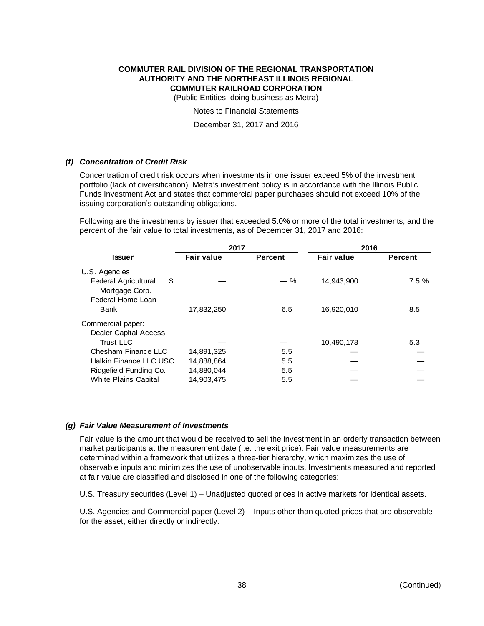(Public Entities, doing business as Metra)

Notes to Financial Statements

December 31, 2017 and 2016

# *(f) Concentration of Credit Risk*

Concentration of credit risk occurs when investments in one issuer exceed 5% of the investment portfolio (lack of diversification). Metra's investment policy is in accordance with the Illinois Public Funds Investment Act and states that commercial paper purchases should not exceed 10% of the issuing corporation's outstanding obligations.

Following are the investments by issuer that exceeded 5.0% or more of the total investments, and the percent of the fair value to total investments, as of December 31, 2017 and 2016:

|                                   | 2017              |                | 2016              |                |  |
|-----------------------------------|-------------------|----------------|-------------------|----------------|--|
| <b>Issuer</b>                     | <b>Fair value</b> | <b>Percent</b> | <b>Fair value</b> | <b>Percent</b> |  |
| U.S. Agencies:                    |                   |                |                   |                |  |
| \$<br><b>Federal Agricultural</b> |                   | $-$ %          | 14,943,900        | $7.5 \%$       |  |
| Mortgage Corp.                    |                   |                |                   |                |  |
| Federal Home Loan                 |                   |                |                   |                |  |
| Bank                              | 17,832,250        | 6.5            | 16,920,010        | 8.5            |  |
| Commercial paper:                 |                   |                |                   |                |  |
| <b>Dealer Capital Access</b>      |                   |                |                   |                |  |
| Trust $ULC$                       |                   |                | 10,490,178        | 5.3            |  |
| Chesham Finance LLC               | 14,891,325        | 5.5            |                   |                |  |
| Halkin Finance LLC USC            | 14,888,864        | 5.5            |                   |                |  |
| Ridgefield Funding Co.            | 14,880,044        | 5.5            |                   |                |  |
| <b>White Plains Capital</b>       | 14.903.475        | 5.5            |                   |                |  |

# *(g) Fair Value Measurement of Investments*

Fair value is the amount that would be received to sell the investment in an orderly transaction between market participants at the measurement date (i.e. the exit price). Fair value measurements are determined within a framework that utilizes a three‐tier hierarchy, which maximizes the use of observable inputs and minimizes the use of unobservable inputs. Investments measured and reported at fair value are classified and disclosed in one of the following categories:

U.S. Treasury securities (Level 1) – Unadjusted quoted prices in active markets for identical assets.

U.S. Agencies and Commercial paper (Level 2) – Inputs other than quoted prices that are observable for the asset, either directly or indirectly.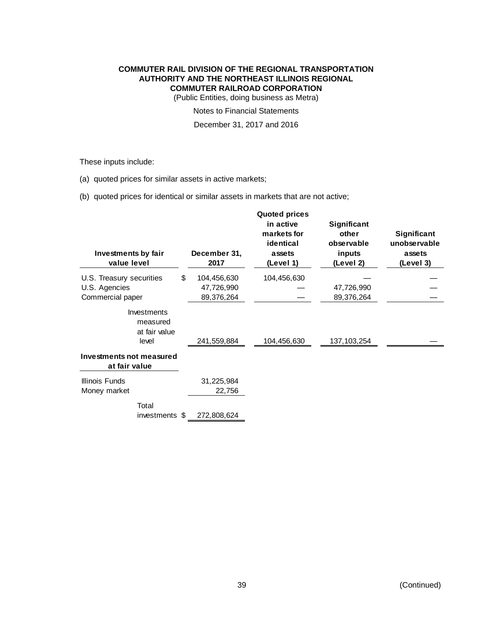(Public Entities, doing business as Metra)

Notes to Financial Statements

December 31, 2017 and 2016

These inputs include:

(a) quoted prices for similar assets in active markets;

(b) quoted prices for identical or similar assets in markets that are not active;

| Investments by fair<br>value level                       | December 31,<br>2017 | <b>Quoted prices</b><br>in active<br>markets for<br>identical<br>assets<br>(Level 1) | Significant<br>other<br>observable<br>inputs<br>(Level 2) | Significant<br>unobservable<br>assets<br>(Level 3) |
|----------------------------------------------------------|----------------------|--------------------------------------------------------------------------------------|-----------------------------------------------------------|----------------------------------------------------|
| U.S. Treasury securities                                 | \$<br>104,456,630    | 104,456,630                                                                          |                                                           |                                                    |
| U.S. Agencies                                            | 47,726,990           |                                                                                      | 47,726,990                                                |                                                    |
| Commercial paper                                         | 89,376,264           |                                                                                      | 89,376,264                                                |                                                    |
| <b>Investments</b><br>measured<br>at fair value<br>level | 241,559,884          | 104,456,630                                                                          | 137,103,254                                               |                                                    |
| <b>Investments not measured</b><br>at fair value         |                      |                                                                                      |                                                           |                                                    |
| Illinois Funds                                           | 31,225,984           |                                                                                      |                                                           |                                                    |
| Money market                                             | 22,756               |                                                                                      |                                                           |                                                    |
| Total                                                    |                      |                                                                                      |                                                           |                                                    |
| investments \$                                           | 272,808,624          |                                                                                      |                                                           |                                                    |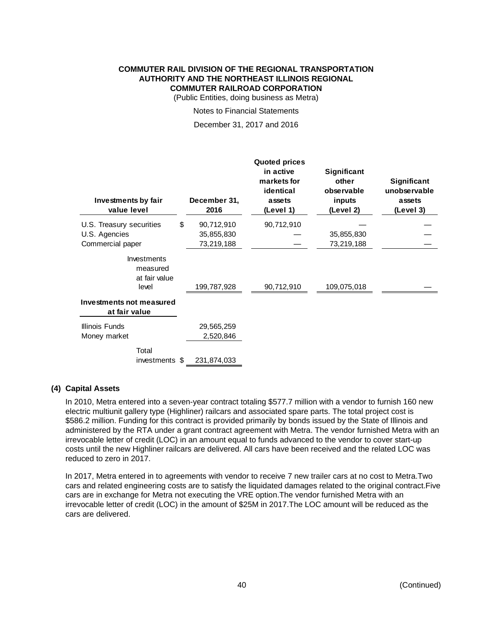(Public Entities, doing business as Metra)

Notes to Financial Statements

December 31, 2017 and 2016

| Investments by fair<br>value level                | December 31,<br>2016    | <b>Quoted prices</b><br>in active<br>markets for<br>identical<br>assets<br>(Level 1) | Significant<br>other<br>observable<br>inputs<br>(Level 2) | <b>Significant</b><br>unobservable<br>assets<br>(Level 3) |
|---------------------------------------------------|-------------------------|--------------------------------------------------------------------------------------|-----------------------------------------------------------|-----------------------------------------------------------|
| U.S. Treasury securities                          | \$<br>90,712,910        | 90,712,910                                                                           |                                                           |                                                           |
| U.S. Agencies                                     | 35,855,830              |                                                                                      | 35,855,830                                                |                                                           |
| Commercial paper                                  | 73,219,188              |                                                                                      | 73,219,188                                                |                                                           |
| Investments<br>measured<br>at fair value<br>level | 199,787,928             | 90,712,910                                                                           | 109,075,018                                               |                                                           |
| Investments not measured<br>at fair value         |                         |                                                                                      |                                                           |                                                           |
| Illinois Funds<br>Money market                    | 29,565,259<br>2,520,846 |                                                                                      |                                                           |                                                           |
| Total<br>investments \$                           | 231,874,033             |                                                                                      |                                                           |                                                           |

# **(4) Capital Assets**

In 2010, Metra entered into a seven-year contract totaling \$577.7 million with a vendor to furnish 160 new electric multiunit gallery type (Highliner) railcars and associated spare parts. The total project cost is \$586.2 million. Funding for this contract is provided primarily by bonds issued by the State of Illinois and administered by the RTA under a grant contract agreement with Metra. The vendor furnished Metra with an irrevocable letter of credit (LOC) in an amount equal to funds advanced to the vendor to cover start-up costs until the new Highliner railcars are delivered. All cars have been received and the related LOC was reduced to zero in 2017.

In 2017, Metra entered in to agreements with vendor to receive 7 new trailer cars at no cost to Metra.Two cars and related engineering costs are to satisfy the liquidated damages related to the original contract.Five cars are in exchange for Metra not executing the VRE option.The vendor furnished Metra with an irrevocable letter of credit (LOC) in the amount of \$25M in 2017.The LOC amount will be reduced as the cars are delivered.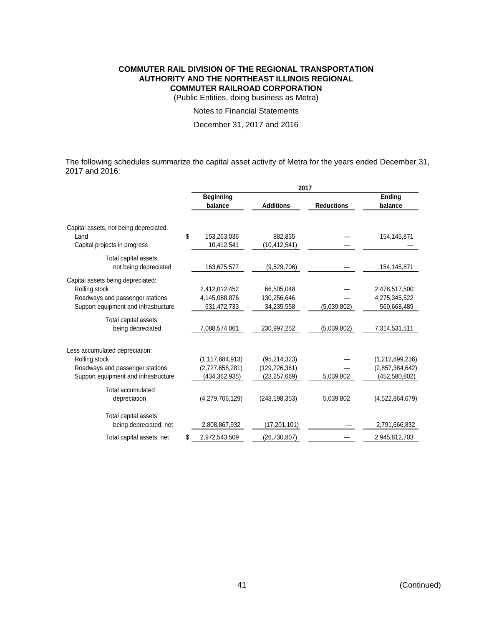(Public Entities, doing business as Metra)

Notes to Financial Statements

December 31, 2017 and 2016

The following schedules summarize the capital asset activity of Metra for the years ended December 31, 2017 and 2016:

|                                                                                                                               | 2017                                                   |                                                   |                   |                                                     |
|-------------------------------------------------------------------------------------------------------------------------------|--------------------------------------------------------|---------------------------------------------------|-------------------|-----------------------------------------------------|
|                                                                                                                               | <b>Beginning</b><br>balance                            | <b>Additions</b>                                  | <b>Reductions</b> | Ending<br>balance                                   |
| Capital assets, not being depreciated:<br>Land<br>Capital projects in progress                                                | \$<br>153,263,036<br>10,412,541                        | 882,835<br>(10,412,541)                           |                   | 154,145,871                                         |
| Total capital assets,<br>not being depreciated                                                                                | 163,675,577                                            | (9,529,706)                                       |                   | 154,145,871                                         |
| Capital assets being depreciated:<br>Rolling stock<br>Roadways and passenger stations<br>Support equipment and infrastructure | 2,412,012,452<br>4,145,088,876<br>531,472,733          | 66,505,048<br>130,256,646<br>34,235,558           | (5,039,802)       | 2,478,517,500<br>4,275,345,522<br>560,668,489       |
| Total capital assets<br>being depreciated                                                                                     | 7,088,574,061                                          | 230,997,252                                       | (5,039,802)       | 7,314,531,511                                       |
| Less accumulated depreciation:<br>Rolling stock<br>Roadways and passenger stations<br>Support equipment and infrastructure    | (1, 117, 684, 913)<br>(2,727,658,281)<br>(434,362,935) | (95, 214, 323)<br>(129, 726, 361)<br>(23,257,669) | 5,039,802         | (1,212,899,236)<br>(2,857,384,642)<br>(452,580,802) |
| Total accumulated<br>depreciation                                                                                             | (4,279,706,129)                                        | (248, 198, 353)                                   | 5,039,802         | (4,522,864,679)                                     |
| Total capital assets<br>being depreciated, net                                                                                | 2,808,867,932                                          | (17,201,101)                                      |                   | 2,791,666,832                                       |
| Total capital assets, net                                                                                                     | 2,972,543,509                                          | (26, 730, 807)                                    |                   | 2,945,812,703                                       |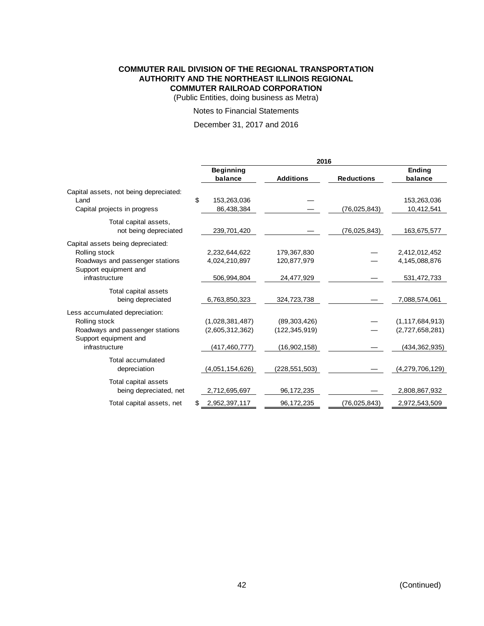(Public Entities, doing business as Metra)

Notes to Financial Statements

December 31, 2017 and 2016

|                                        | 2016              |                  |                   |                    |
|----------------------------------------|-------------------|------------------|-------------------|--------------------|
|                                        | <b>Beginning</b>  |                  |                   | <b>Ending</b>      |
|                                        | balance           | <b>Additions</b> | <b>Reductions</b> | balance            |
| Capital assets, not being depreciated: |                   |                  |                   |                    |
| Land                                   | \$<br>153,263,036 |                  |                   | 153,263,036        |
| Capital projects in progress           | 86,438,384        |                  | (76, 025, 843)    | 10,412,541         |
| Total capital assets,                  |                   |                  |                   |                    |
| not being depreciated                  | 239,701,420       |                  | (76, 025, 843)    | 163,675,577        |
| Capital assets being depreciated:      |                   |                  |                   |                    |
| Rolling stock                          | 2,232,644,622     | 179,367,830      |                   | 2,412,012,452      |
| Roadways and passenger stations        | 4,024,210,897     | 120,877,979      |                   | 4,145,088,876      |
| Support equipment and                  |                   |                  |                   |                    |
| infrastructure                         | 506,994,804       | 24,477,929       |                   | 531, 472, 733      |
| Total capital assets                   |                   |                  |                   |                    |
| being depreciated                      | 6,763,850,323     | 324,723,738      |                   | 7,088,574,061      |
| Less accumulated depreciation:         |                   |                  |                   |                    |
| Rolling stock                          | (1.028, 381, 487) | (89, 303, 426)   |                   | (1, 117, 684, 913) |
| Roadways and passenger stations        | (2,605,312,362)   | (122, 345, 919)  |                   | (2,727,658,281)    |
| Support equipment and                  |                   |                  |                   |                    |
| infrastructure                         | (417,460,777)     | (16,902,158)     |                   | (434,362,935)      |
| Total accumulated                      |                   |                  |                   |                    |
| depreciation                           | (4,051,154,626)   | (228, 551, 503)  |                   | (4,279,706,129)    |
| Total capital assets                   |                   |                  |                   |                    |
| being depreciated, net                 | 2,712,695,697     | 96, 172, 235     |                   | 2,808,867,932      |
| Total capital assets, net              | 2,952,397,117     | 96, 172, 235     | (76, 025, 843)    | 2,972,543,509      |
|                                        |                   |                  |                   |                    |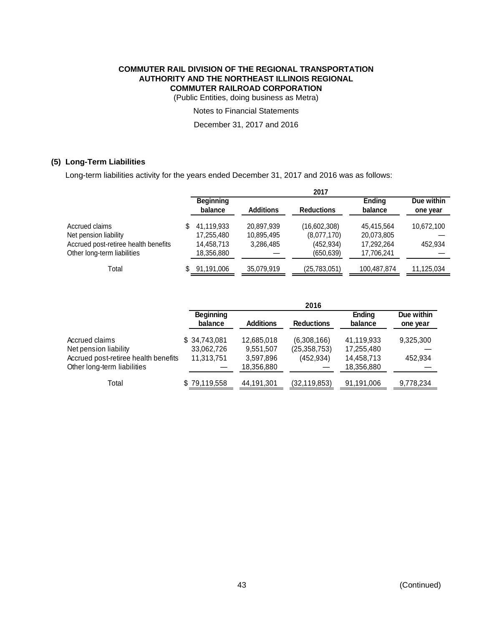(Public Entities, doing business as Metra)

Notes to Financial Statements

December 31, 2017 and 2016

# **(5) Long-Term Liabilities**

Long-term liabilities activity for the years ended December 31, 2017 and 2016 was as follows:

|                                      |                             |                  | 2017              |                          |                        |
|--------------------------------------|-----------------------------|------------------|-------------------|--------------------------|------------------------|
|                                      | <b>Beginning</b><br>balance | <b>Additions</b> | <b>Reductions</b> | <b>Ending</b><br>balance | Due within<br>one year |
| Accrued claims                       | 41,119,933                  | 20,897,939       | (16,602,308)      | 45,415,564               | 10,672,100             |
| Net pension liability                | 17,255,480                  | 10,895,495       | (8,077,170)       | 20,073,805               |                        |
| Accrued post-retiree health benefits | 14,458,713                  | 3,286,485        | (452, 934)        | 17,292,264               | 452.934                |
| Other long-term liabilities          | 18,356,880                  |                  | (650, 639)        | 17,706,241               |                        |
| Total                                | 91,191,006                  | 35,079,919       | (25,783,051)      | 100,487,874              | 11,125,034             |

|                                      |                             |                  | 2016              |                   |                        |
|--------------------------------------|-----------------------------|------------------|-------------------|-------------------|------------------------|
|                                      | <b>Beginning</b><br>balance | <b>Additions</b> | <b>Reductions</b> | Ending<br>balance | Due within<br>one year |
| Accrued claims                       | \$34,743,081                | 12,685,018       | (6,308,166)       | 41,119,933        | 9,325,300              |
| Net pension liability                | 33,062,726                  | 9,551,507        | (25, 358, 753)    | 17,255,480        |                        |
| Accrued post-retiree health benefits | 11,313,751                  | 3,597,896        | (452, 934)        | 14,458,713        | 452.934                |
| Other long-term liabilities          |                             | 18,356,880       |                   | 18,356,880        |                        |
| Total                                | \$79,119,558                | 44,191,301       | (32, 119, 853)    | 91,191,006        | 9,778,234              |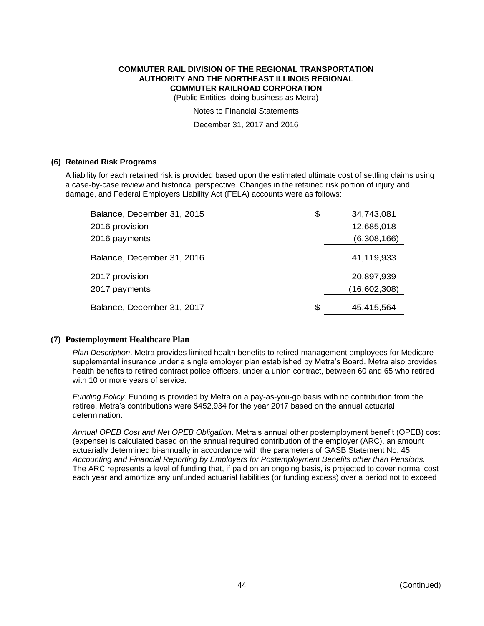(Public Entities, doing business as Metra)

Notes to Financial Statements

December 31, 2017 and 2016

# **(6) Retained Risk Programs**

A liability for each retained risk is provided based upon the estimated ultimate cost of settling claims using a case-by-case review and historical perspective. Changes in the retained risk portion of injury and damage, and Federal Employers Liability Act (FELA) accounts were as follows:

| Balance, December 31, 2015 | \$<br>34,743,081 |
|----------------------------|------------------|
| 2016 provision             | 12,685,018       |
| 2016 payments              | (6,308,166)      |
| Balance, December 31, 2016 | 41,119,933       |
| 2017 provision             | 20,897,939       |
| 2017 payments              | (16,602,308)     |
| Balance, December 31, 2017 | \$<br>45,415,564 |

# **(7) Postemployment Healthcare Plan**

*Plan Description*. Metra provides limited health benefits to retired management employees for Medicare supplemental insurance under a single employer plan established by Metra's Board. Metra also provides health benefits to retired contract police officers, under a union contract, between 60 and 65 who retired with 10 or more years of service.

*Funding Policy*. Funding is provided by Metra on a pay-as-you-go basis with no contribution from the retiree. Metra's contributions were \$452,934 for the year 2017 based on the annual actuarial determination.

*Annual OPEB Cost and Net OPEB Obligation*. Metra's annual other postemployment benefit (OPEB) cost (expense) is calculated based on the annual required contribution of the employer (ARC), an amount actuarially determined bi-annually in accordance with the parameters of GASB Statement No. 45, *Accounting and Financial Reporting by Employers for Postemployment Benefits other than Pensions.* The ARC represents a level of funding that, if paid on an ongoing basis, is projected to cover normal cost each year and amortize any unfunded actuarial liabilities (or funding excess) over a period not to exceed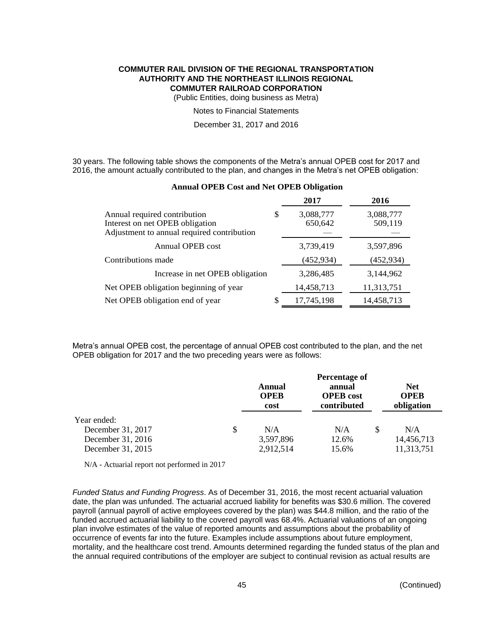(Public Entities, doing business as Metra)

Notes to Financial Statements

December 31, 2017 and 2016

30 years. The following table shows the components of the Metra's annual OPEB cost for 2017 and 2016, the amount actually contributed to the plan, and changes in the Metra's net OPEB obligation:

|                                                                                                               |    | 2017                 | 2016                 |
|---------------------------------------------------------------------------------------------------------------|----|----------------------|----------------------|
| Annual required contribution<br>Interest on net OPEB obligation<br>Adjustment to annual required contribution | \$ | 3,088,777<br>650,642 | 3,088,777<br>509,119 |
| Annual OPEB cost                                                                                              |    | 3,739,419            | 3,597,896            |
| Contributions made                                                                                            |    | (452, 934)           | (452, 934)           |
| Increase in net OPEB obligation                                                                               |    | 3,286,485            | 3,144,962            |
| Net OPEB obligation beginning of year                                                                         |    | 14,458,713           | 11,313,751           |
| Net OPEB obligation end of year                                                                               | S  | 17,745,198           | 14,458,713           |

# **Annual OPEB Cost and Net OPEB Obligation**

Metra's annual OPEB cost, the percentage of annual OPEB cost contributed to the plan, and the net OPEB obligation for 2017 and the two preceding years were as follows:

|                                                                            | Annual<br><b>OPEB</b><br>cost       | Percentage of<br>annual<br><b>OPEB</b> cost<br>contributed |   | <b>Net</b><br><b>OPEB</b><br>obligation |
|----------------------------------------------------------------------------|-------------------------------------|------------------------------------------------------------|---|-----------------------------------------|
| Year ended:<br>December 31, 2017<br>December 31, 2016<br>December 31, 2015 | \$<br>N/A<br>3,597,896<br>2,912,514 | N/A<br>12.6%<br>15.6%                                      | S | N/A<br>14,456,713<br>11,313,751         |

N/A - Actuarial report not performed in 2017

*Funded Status and Funding Progress*. As of December 31, 2016, the most recent actuarial valuation date, the plan was unfunded. The actuarial accrued liability for benefits was \$30.6 million. The covered payroll (annual payroll of active employees covered by the plan) was \$44.8 million, and the ratio of the funded accrued actuarial liability to the covered payroll was 68.4%. Actuarial valuations of an ongoing plan involve estimates of the value of reported amounts and assumptions about the probability of occurrence of events far into the future. Examples include assumptions about future employment, mortality, and the healthcare cost trend. Amounts determined regarding the funded status of the plan and the annual required contributions of the employer are subject to continual revision as actual results are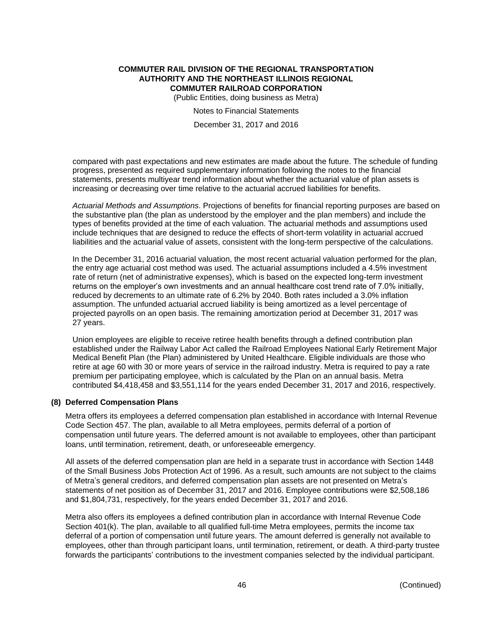(Public Entities, doing business as Metra)

Notes to Financial Statements

December 31, 2017 and 2016

compared with past expectations and new estimates are made about the future. The schedule of funding progress, presented as required supplementary information following the notes to the financial statements, presents multiyear trend information about whether the actuarial value of plan assets is increasing or decreasing over time relative to the actuarial accrued liabilities for benefits.

*Actuarial Methods and Assumptions*. Projections of benefits for financial reporting purposes are based on the substantive plan (the plan as understood by the employer and the plan members) and include the types of benefits provided at the time of each valuation. The actuarial methods and assumptions used include techniques that are designed to reduce the effects of short-term volatility in actuarial accrued liabilities and the actuarial value of assets, consistent with the long-term perspective of the calculations.

In the December 31, 2016 actuarial valuation, the most recent actuarial valuation performed for the plan, the entry age actuarial cost method was used. The actuarial assumptions included a 4.5% investment rate of return (net of administrative expenses), which is based on the expected long-term investment returns on the employer's own investments and an annual healthcare cost trend rate of 7.0% initially, reduced by decrements to an ultimate rate of 6.2% by 2040. Both rates included a 3.0% inflation assumption. The unfunded actuarial accrued liability is being amortized as a level percentage of projected payrolls on an open basis. The remaining amortization period at December 31, 2017 was 27 years.

Union employees are eligible to receive retiree health benefits through a defined contribution plan established under the Railway Labor Act called the Railroad Employees National Early Retirement Major Medical Benefit Plan (the Plan) administered by United Healthcare. Eligible individuals are those who retire at age 60 with 30 or more years of service in the railroad industry. Metra is required to pay a rate premium per participating employee, which is calculated by the Plan on an annual basis. Metra contributed \$4,418,458 and \$3,551,114 for the years ended December 31, 2017 and 2016, respectively.

# **(8) Deferred Compensation Plans**

Metra offers its employees a deferred compensation plan established in accordance with Internal Revenue Code Section 457. The plan, available to all Metra employees, permits deferral of a portion of compensation until future years. The deferred amount is not available to employees, other than participant loans, until termination, retirement, death, or unforeseeable emergency.

All assets of the deferred compensation plan are held in a separate trust in accordance with Section 1448 of the Small Business Jobs Protection Act of 1996. As a result, such amounts are not subject to the claims of Metra's general creditors, and deferred compensation plan assets are not presented on Metra's statements of net position as of December 31, 2017 and 2016. Employee contributions were \$2,508,186 and \$1,804,731, respectively, for the years ended December 31, 2017 and 2016.

Metra also offers its employees a defined contribution plan in accordance with Internal Revenue Code Section 401(k). The plan, available to all qualified full-time Metra employees, permits the income tax deferral of a portion of compensation until future years. The amount deferred is generally not available to employees, other than through participant loans, until termination, retirement, or death. A third-party trustee forwards the participants' contributions to the investment companies selected by the individual participant.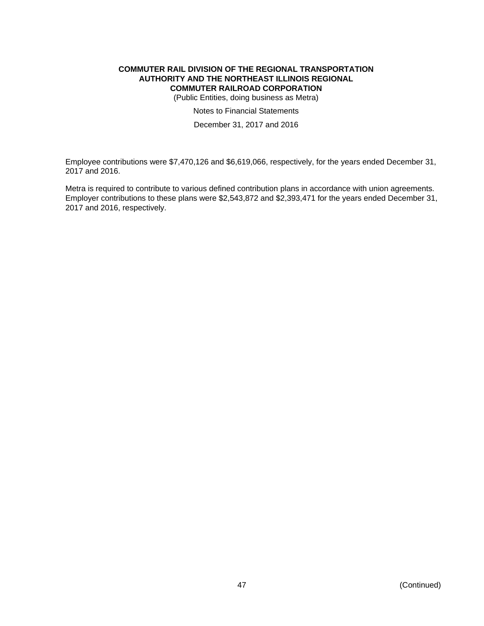(Public Entities, doing business as Metra)

Notes to Financial Statements

December 31, 2017 and 2016

Employee contributions were \$7,470,126 and \$6,619,066, respectively, for the years ended December 31, 2017 and 2016.

Metra is required to contribute to various defined contribution plans in accordance with union agreements. Employer contributions to these plans were \$2,543,872 and \$2,393,471 for the years ended December 31, 2017 and 2016, respectively.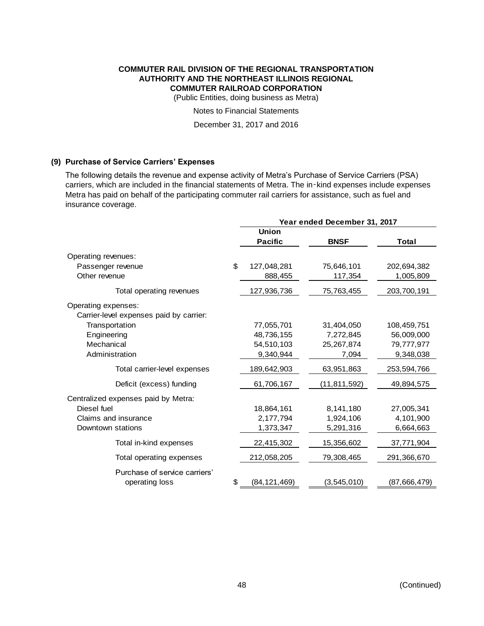(Public Entities, doing business as Metra)

Notes to Financial Statements

December 31, 2017 and 2016

#### **(9) Purchase of Service Carriers' Expenses**

The following details the revenue and expense activity of Metra's Purchase of Service Carriers (PSA) carriers, which are included in the financial statements of Metra. The in‑kind expenses include expenses Metra has paid on behalf of the participating commuter rail carriers for assistance, such as fuel and insurance coverage.

|                                         | Year ended December 31, 2017 |                |              |  |
|-----------------------------------------|------------------------------|----------------|--------------|--|
|                                         | <b>Union</b>                 |                |              |  |
|                                         | <b>Pacific</b>               | <b>BNSF</b>    | <b>Total</b> |  |
| Operating revenues:                     |                              |                |              |  |
| Passenger revenue                       | \$<br>127,048,281            | 75,646,101     | 202,694,382  |  |
| Other revenue                           | 888,455                      | 117,354        | 1,005,809    |  |
| Total operating revenues                | 127,936,736                  | 75,763,455     | 203,700,191  |  |
| Operating expenses:                     |                              |                |              |  |
| Carrier-level expenses paid by carrier: |                              |                |              |  |
| Transportation                          | 77,055,701                   | 31,404,050     | 108,459,751  |  |
| Engineering                             | 48,736,155                   | 7,272,845      | 56,009,000   |  |
| Mechanical                              | 54,510,103                   | 25,267,874     | 79,777,977   |  |
| Administration                          | 9,340,944                    | 7,094          | 9,348,038    |  |
| Total carrier-level expenses            | 189,642,903                  | 63,951,863     | 253,594,766  |  |
| Deficit (excess) funding                | 61,706,167                   | (11, 811, 592) | 49,894,575   |  |
| Centralized expenses paid by Metra:     |                              |                |              |  |
| Diesel fuel                             | 18,864,161                   | 8,141,180      | 27,005,341   |  |
| Claims and insurance                    | 2, 177, 794                  | 1,924,106      | 4,101,900    |  |
| Downtown stations                       | 1,373,347                    | 5,291,316      | 6,664,663    |  |
| Total in-kind expenses                  | 22,415,302                   | 15,356,602     | 37,771,904   |  |
| Total operating expenses                | 212,058,205                  | 79,308,465     | 291,366,670  |  |
| Purchase of service carriers'           |                              |                |              |  |
| operating loss                          | \$<br>(84, 121, 469)         | (3, 545, 010)  | (87,666,479) |  |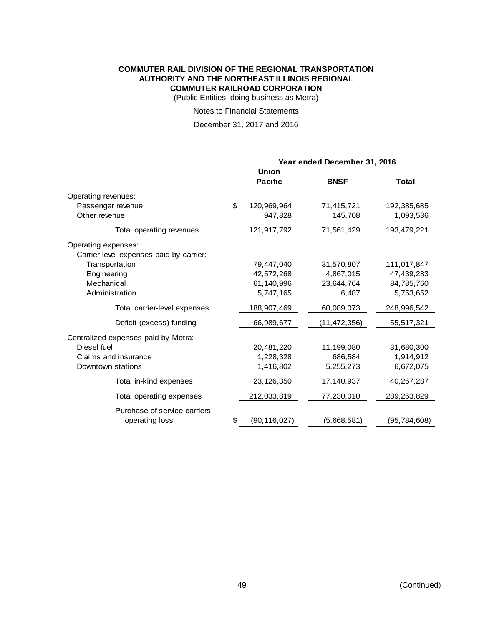(Public Entities, doing business as Metra)

Notes to Financial Statements

December 31, 2017 and 2016

|                                         | Year ended December 31, 2016 |                |                |  |
|-----------------------------------------|------------------------------|----------------|----------------|--|
|                                         | Union                        |                |                |  |
|                                         | <b>Pacific</b>               | <b>BNSF</b>    | <b>Total</b>   |  |
| Operating revenues:                     |                              |                |                |  |
| Passenger revenue                       | \$<br>120,969,964            | 71,415,721     | 192,385,685    |  |
| Other revenue                           | 947,828                      | 145,708        | 1,093,536      |  |
| Total operating revenues                | 121,917,792                  | 71,561,429     | 193,479,221    |  |
| Operating expenses:                     |                              |                |                |  |
| Carrier-level expenses paid by carrier: |                              |                |                |  |
| Transportation                          | 79,447,040                   | 31,570,807     | 111,017,847    |  |
| Engineering                             | 42,572,268                   | 4,867,015      | 47,439,283     |  |
| Mechanical                              | 61,140,996                   | 23,644,764     | 84,785,760     |  |
| Administration                          | 5,747,165                    | 6,487          | 5,753,652      |  |
| Total carrier-level expenses            | 188,907,469                  | 60,089,073     | 248,996,542    |  |
| Deficit (excess) funding                | 66,989,677                   | (11, 472, 356) | 55,517,321     |  |
| Centralized expenses paid by Metra:     |                              |                |                |  |
| Diesel fuel                             | 20,481,220                   | 11,199,080     | 31,680,300     |  |
| Claims and insurance                    | 1,228,328                    | 686.584        | 1,914,912      |  |
| Downtown stations                       | 1,416,802                    | 5,255,273      | 6,672,075      |  |
| Total in-kind expenses                  | 23,126,350                   | 17,140,937     | 40,267,287     |  |
| Total operating expenses                | 212,033,819                  | 77,230,010     | 289,263,829    |  |
| Purchase of service carriers'           |                              |                |                |  |
| operating loss                          | \$<br>(90, 116, 027)         | (5,668,581)    | (95, 784, 608) |  |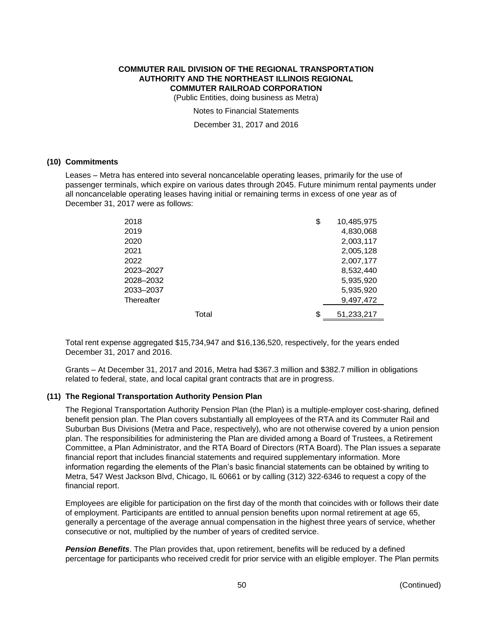(Public Entities, doing business as Metra)

Notes to Financial Statements

December 31, 2017 and 2016

# **(10) Commitments**

Leases – Metra has entered into several noncancelable operating leases, primarily for the use of passenger terminals, which expire on various dates through 2045. Future minimum rental payments under all noncancelable operating leases having initial or remaining terms in excess of one year as of December 31, 2017 were as follows:

| 2018       | \$<br>10,485,975 |
|------------|------------------|
| 2019       | 4,830,068        |
| 2020       | 2,003,117        |
| 2021       | 2,005,128        |
| 2022       | 2,007,177        |
| 2023-2027  | 8,532,440        |
| 2028-2032  | 5,935,920        |
| 2033-2037  | 5,935,920        |
| Thereafter | 9,497,472        |
| Total      | \$<br>51,233,217 |

Total rent expense aggregated \$15,734,947 and \$16,136,520, respectively, for the years ended December 31, 2017 and 2016.

Grants – At December 31, 2017 and 2016, Metra had \$367.3 million and \$382.7 million in obligations related to federal, state, and local capital grant contracts that are in progress.

# **(11) The Regional Transportation Authority Pension Plan**

The Regional Transportation Authority Pension Plan (the Plan) is a multiple-employer cost-sharing, defined benefit pension plan. The Plan covers substantially all employees of the RTA and its Commuter Rail and Suburban Bus Divisions (Metra and Pace, respectively), who are not otherwise covered by a union pension plan. The responsibilities for administering the Plan are divided among a Board of Trustees, a Retirement Committee, a Plan Administrator, and the RTA Board of Directors (RTA Board). The Plan issues a separate financial report that includes financial statements and required supplementary information. More information regarding the elements of the Plan's basic financial statements can be obtained by writing to Metra, 547 West Jackson Blvd, Chicago, IL 60661 or by calling (312) 322-6346 to request a copy of the financial report.

Employees are eligible for participation on the first day of the month that coincides with or follows their date of employment. Participants are entitled to annual pension benefits upon normal retirement at age 65, generally a percentage of the average annual compensation in the highest three years of service, whether consecutive or not, multiplied by the number of years of credited service.

*Pension Benefits*. The Plan provides that, upon retirement, benefits will be reduced by a defined percentage for participants who received credit for prior service with an eligible employer. The Plan permits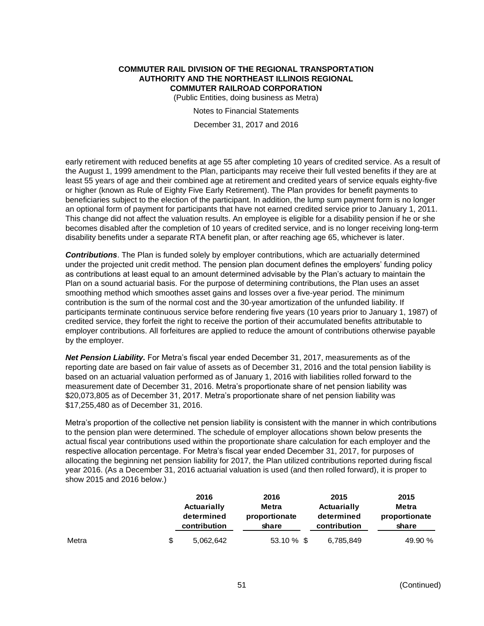(Public Entities, doing business as Metra)

Notes to Financial Statements

December 31, 2017 and 2016

early retirement with reduced benefits at age 55 after completing 10 years of credited service. As a result of the August 1, 1999 amendment to the Plan, participants may receive their full vested benefits if they are at least 55 years of age and their combined age at retirement and credited years of service equals eighty-five or higher (known as Rule of Eighty Five Early Retirement). The Plan provides for benefit payments to beneficiaries subject to the election of the participant. In addition, the lump sum payment form is no longer an optional form of payment for participants that have not earned credited service prior to January 1, 2011. This change did not affect the valuation results. An employee is eligible for a disability pension if he or she becomes disabled after the completion of 10 years of credited service, and is no longer receiving long-term disability benefits under a separate RTA benefit plan, or after reaching age 65, whichever is later.

*Contributions*. The Plan is funded solely by employer contributions, which are actuarially determined under the projected unit credit method. The pension plan document defines the employers' funding policy as contributions at least equal to an amount determined advisable by the Plan's actuary to maintain the Plan on a sound actuarial basis. For the purpose of determining contributions, the Plan uses an asset smoothing method which smoothes asset gains and losses over a five-year period. The minimum contribution is the sum of the normal cost and the 30-year amortization of the unfunded liability. If participants terminate continuous service before rendering five years (10 years prior to January 1, 1987) of credited service, they forfeit the right to receive the portion of their accumulated benefits attributable to employer contributions. All forfeitures are applied to reduce the amount of contributions otherwise payable by the employer.

*Net Pension Liability.* For Metra's fiscal year ended December 31, 2017, measurements as of the reporting date are based on fair value of assets as of December 31, 2016 and the total pension liability is based on an actuarial valuation performed as of January 1, 2016 with liabilities rolled forward to the measurement date of December 31, 2016. Metra's proportionate share of net pension liability was \$20,073,805 as of December 31, 2017. Metra's proportionate share of net pension liability was \$17,255,480 as of December 31, 2016.

Metra's proportion of the collective net pension liability is consistent with the manner in which contributions to the pension plan were determined. The schedule of employer allocations shown below presents the actual fiscal year contributions used within the proportionate share calculation for each employer and the respective allocation percentage. For Metra's fiscal year ended December 31, 2017, for purposes of allocating the beginning net pension liability for 2017, the Plan utilized contributions reported during fiscal year 2016. (As a December 31, 2016 actuarial valuation is used (and then rolled forward), it is proper to show 2015 and 2016 below.)

|       | 2016                       | 2016                   | 2015                       | 2015                   |
|-------|----------------------------|------------------------|----------------------------|------------------------|
|       | Actuarially                | <b>Metra</b>           | Actuarially                | <b>Metra</b>           |
|       | determined<br>contribution | proportionate<br>share | determined<br>contribution | proportionate<br>share |
| Metra | 5,062,642                  | $53.10\%$ \$           | 6,785,849                  | 49.90 %                |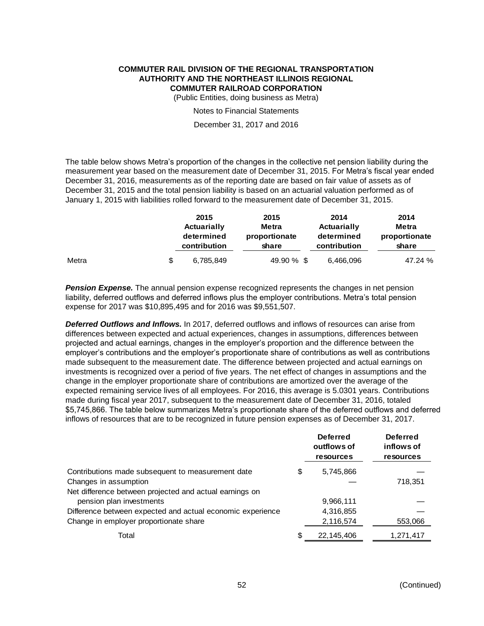(Public Entities, doing business as Metra)

Notes to Financial Statements

December 31, 2017 and 2016

The table below shows Metra's proportion of the changes in the collective net pension liability during the measurement year based on the measurement date of December 31, 2015. For Metra's fiscal year ended December 31, 2016, measurements as of the reporting date are based on fair value of assets as of December 31, 2015 and the total pension liability is based on an actuarial valuation performed as of January 1, 2015 with liabilities rolled forward to the measurement date of December 31, 2015.

|       | 2015<br>Actuarially<br>determined<br>contribution | 2015<br>Metra<br>proportionate<br>share | 2014<br>Actuarially<br>determined<br>contribution | 2014<br><b>Metra</b><br>proportionate<br>share |
|-------|---------------------------------------------------|-----------------------------------------|---------------------------------------------------|------------------------------------------------|
| Metra | \$<br>6,785,849                                   | 49.90 % \$                              | 6,466,096                                         | 47.24 %                                        |

**Pension Expense.** The annual pension expense recognized represents the changes in net pension liability, deferred outflows and deferred inflows plus the employer contributions. Metra's total pension expense for 2017 was \$10,895,495 and for 2016 was \$9,551,507.

*Deferred Outflows and Inflows.* In 2017, deferred outflows and inflows of resources can arise from differences between expected and actual experiences, changes in assumptions, differences between projected and actual earnings, changes in the employer's proportion and the difference between the employer's contributions and the employer's proportionate share of contributions as well as contributions made subsequent to the measurement date. The difference between projected and actual earnings on investments is recognized over a period of five years. The net effect of changes in assumptions and the change in the employer proportionate share of contributions are amortized over the average of the expected remaining service lives of all employees. For 2016, this average is 5.0301 years. Contributions made during fiscal year 2017, subsequent to the measurement date of December 31, 2016, totaled \$5,745,866. The table below summarizes Metra's proportionate share of the deferred outflows and deferred inflows of resources that are to be recognized in future pension expenses as of December 31, 2017.

|                                                            | <b>Deferred</b><br>outflows of<br>resources | <b>Deferred</b><br>inflows of<br>resources |
|------------------------------------------------------------|---------------------------------------------|--------------------------------------------|
| Contributions made subsequent to measurement date          | \$<br>5,745,866                             |                                            |
| Changes in assumption                                      |                                             | 718,351                                    |
| Net difference between projected and actual earnings on    |                                             |                                            |
| pension plan investments                                   | 9,966,111                                   |                                            |
| Difference between expected and actual economic experience | 4,316,855                                   |                                            |
| Change in employer proportionate share                     | 2,116,574                                   | 553,066                                    |
| Total                                                      | \$<br>22,145,406                            | 1,271,417                                  |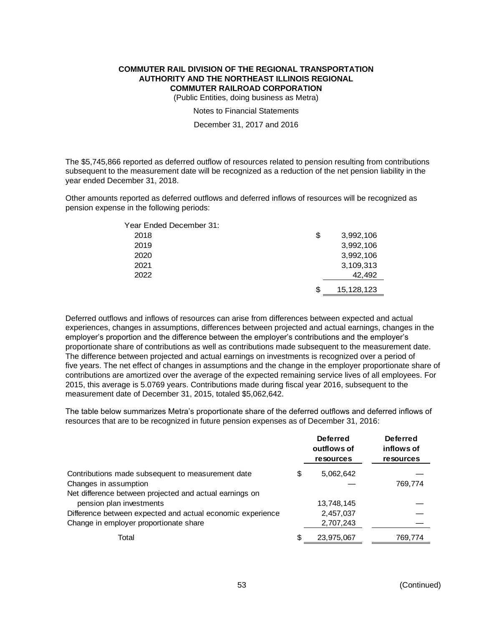(Public Entities, doing business as Metra)

Notes to Financial Statements

December 31, 2017 and 2016

The \$5,745,866 reported as deferred outflow of resources related to pension resulting from contributions subsequent to the measurement date will be recognized as a reduction of the net pension liability in the year ended December 31, 2018.

Other amounts reported as deferred outflows and deferred inflows of resources will be recognized as pension expense in the following periods:

| Year Ended December 31: |                    |
|-------------------------|--------------------|
| 2018                    | \$<br>3,992,106    |
| 2019                    | 3,992,106          |
| 2020                    | 3,992,106          |
| 2021                    | 3,109,313          |
| 2022                    | 42,492             |
|                         | \$<br>15, 128, 123 |

Deferred outflows and inflows of resources can arise from differences between expected and actual experiences, changes in assumptions, differences between projected and actual earnings, changes in the employer's proportion and the difference between the employer's contributions and the employer's proportionate share of contributions as well as contributions made subsequent to the measurement date. The difference between projected and actual earnings on investments is recognized over a period of five years. The net effect of changes in assumptions and the change in the employer proportionate share of contributions are amortized over the average of the expected remaining service lives of all employees. For 2015, this average is 5.0769 years. Contributions made during fiscal year 2016, subsequent to the measurement date of December 31, 2015, totaled \$5,062,642.

The table below summarizes Metra's proportionate share of the deferred outflows and deferred inflows of resources that are to be recognized in future pension expenses as of December 31, 2016:

|                                                            | <b>Deferred</b><br>outflows of<br>resources | <b>Deferred</b><br>inflows of<br>resources |
|------------------------------------------------------------|---------------------------------------------|--------------------------------------------|
| Contributions made subsequent to measurement date          | \$<br>5,062,642                             |                                            |
| Changes in assumption                                      |                                             | 769,774                                    |
| Net difference between projected and actual earnings on    |                                             |                                            |
| pension plan investments                                   | 13,748,145                                  |                                            |
| Difference between expected and actual economic experience | 2,457,037                                   |                                            |
| Change in employer proportionate share                     | 2,707,243                                   |                                            |
| Total                                                      | \$<br>23,975,067                            | 769,774                                    |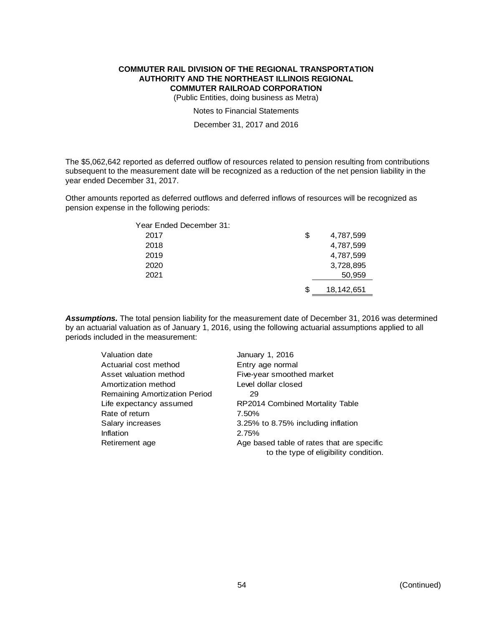(Public Entities, doing business as Metra)

Notes to Financial Statements

December 31, 2017 and 2016

The \$5,062,642 reported as deferred outflow of resources related to pension resulting from contributions subsequent to the measurement date will be recognized as a reduction of the net pension liability in the year ended December 31, 2017.

Other amounts reported as deferred outflows and deferred inflows of resources will be recognized as pension expense in the following periods:

| Year Ended December 31: |    |            |
|-------------------------|----|------------|
| 2017                    | \$ | 4,787,599  |
| 2018                    |    | 4,787,599  |
| 2019                    |    | 4,787,599  |
| 2020                    |    | 3,728,895  |
| 2021                    |    | 50,959     |
|                         | S  | 18,142,651 |
|                         |    |            |

*Assumptions.* The total pension liability for the measurement date of December 31, 2016 was determined by an actuarial valuation as of January 1, 2016, using the following actuarial assumptions applied to all periods included in the measurement:

| Valuation date                | January 1, 2016                            |
|-------------------------------|--------------------------------------------|
| Actuarial cost method         | Entry age normal                           |
| Asset valuation method        | Five-year smoothed market                  |
| Amortization method           | Level dollar closed                        |
| Remaining Amortization Period | 29                                         |
| Life expectancy assumed       | RP2014 Combined Mortality Table            |
| Rate of return                | 7.50%                                      |
| Salary increases              | 3.25% to 8.75% including inflation         |
| Inflation                     | 2.75%                                      |
| Retirement age                | Age based table of rates that are specific |
|                               | to the type of eligibility condition.      |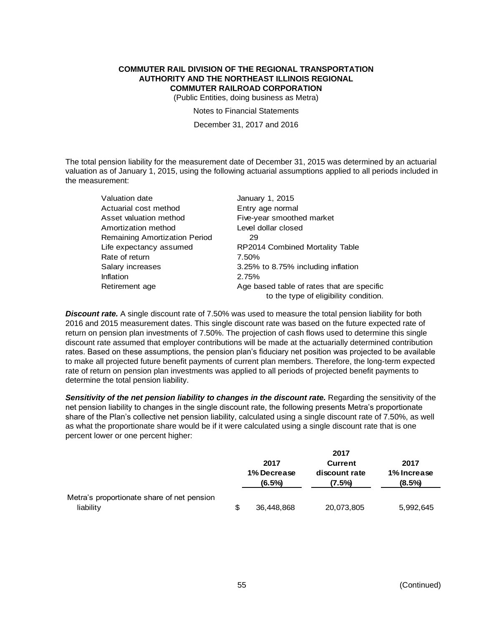(Public Entities, doing business as Metra)

Notes to Financial Statements

December 31, 2017 and 2016

The total pension liability for the measurement date of December 31, 2015 was determined by an actuarial valuation as of January 1, 2015, using the following actuarial assumptions applied to all periods included in the measurement:

| Valuation date                       | January 1, 2015                            |
|--------------------------------------|--------------------------------------------|
| Actuarial cost method                | Entry age normal                           |
| Asset valuation method               | Five-year smoothed market                  |
| Amortization method                  | Level dollar closed                        |
| <b>Remaining Amortization Period</b> | 29                                         |
| Life expectancy assumed              | RP2014 Combined Mortality Table            |
| Rate of return                       | 7.50%                                      |
| Salary increases                     | 3.25% to 8.75% including inflation         |
| Inflation                            | 2.75%                                      |
| Retirement age                       | Age based table of rates that are specific |
|                                      | to the type of eligibility condition.      |

*Discount rate.* A single discount rate of 7.50% was used to measure the total pension liability for both 2016 and 2015 measurement dates. This single discount rate was based on the future expected rate of return on pension plan investments of 7.50%. The projection of cash flows used to determine this single discount rate assumed that employer contributions will be made at the actuarially determined contribution rates. Based on these assumptions, the pension plan's fiduciary net position was projected to be available to make all projected future benefit payments of current plan members. Therefore, the long-term expected rate of return on pension plan investments was applied to all periods of projected benefit payments to determine the total pension liability.

**Sensitivity of the net pension liability to changes in the discount rate.** Regarding the sensitivity of the net pension liability to changes in the single discount rate, the following presents Metra's proportionate share of the Plan's collective net pension liability, calculated using a single discount rate of 7.50%, as well as what the proportionate share would be if it were calculated using a single discount rate that is one percent lower or one percent higher:

|                                                         | 2017                             |                                           |                               |  |
|---------------------------------------------------------|----------------------------------|-------------------------------------------|-------------------------------|--|
|                                                         | 2017<br>1% Decrease<br>$(6.5\%)$ | <b>Current</b><br>discount rate<br>(7.5%) | 2017<br>1% Increase<br>(8.5%) |  |
| Metra's proportionate share of net pension<br>liability | \$<br>36,448,868                 | 20,073,805                                | 5,992,645                     |  |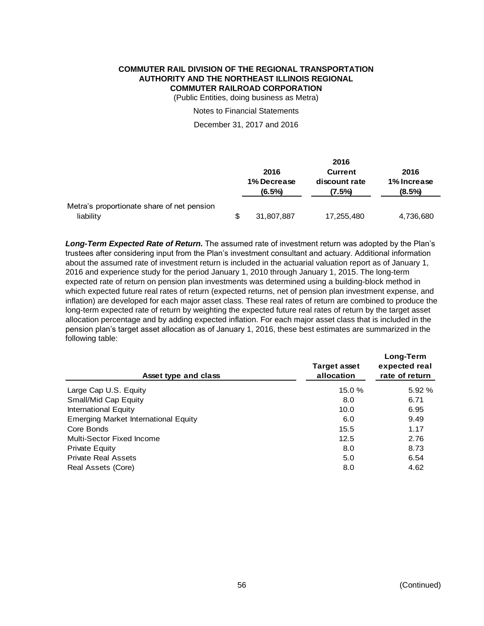(Public Entities, doing business as Metra)

Notes to Financial Statements

December 31, 2017 and 2016

|                                            | 2016                |                                 |                     |  |
|--------------------------------------------|---------------------|---------------------------------|---------------------|--|
|                                            | 2016<br>1% Decrease | <b>Current</b><br>discount rate | 2016<br>1% Increase |  |
|                                            | $(6.5\%)$           | (7.5%)                          | (8.5%)              |  |
| Metra's proportionate share of net pension |                     |                                 |                     |  |
| liability                                  | \$<br>31,807,887    | 17,255,480                      | 4,736,680           |  |

*Long-Term Expected Rate of Return.* The assumed rate of investment return was adopted by the Plan's trustees after considering input from the Plan's investment consultant and actuary. Additional information about the assumed rate of investment return is included in the actuarial valuation report as of January 1, 2016 and experience study for the period January 1, 2010 through January 1, 2015. The long-term expected rate of return on pension plan investments was determined using a building-block method in which expected future real rates of return (expected returns, net of pension plan investment expense, and inflation) are developed for each major asset class. These real rates of return are combined to produce the long-term expected rate of return by weighting the expected future real rates of return by the target asset allocation percentage and by adding expected inflation. For each major asset class that is included in the pension plan's target asset allocation as of January 1, 2016, these best estimates are summarized in the following table:

| Asset type and class                 | Target asset<br>allocation | Long-Term<br>expected real<br>rate of return |
|--------------------------------------|----------------------------|----------------------------------------------|
| Large Cap U.S. Equity                | 15.0%                      | 5.92%                                        |
| Small/Mid Cap Equity                 | 8.0                        | 6.71                                         |
| <b>International Equity</b>          | 10.0                       | 6.95                                         |
| Emerging Market International Equity | 6.0                        | 9.49                                         |
| Core Bonds                           | 15.5                       | 1.17                                         |
| Multi-Sector Fixed Income            | 12.5                       | 2.76                                         |
| <b>Private Equity</b>                | 8.0                        | 8.73                                         |
| <b>Private Real Assets</b>           | 5.0                        | 6.54                                         |
| Real Assets (Core)                   | 8.0                        | 4.62                                         |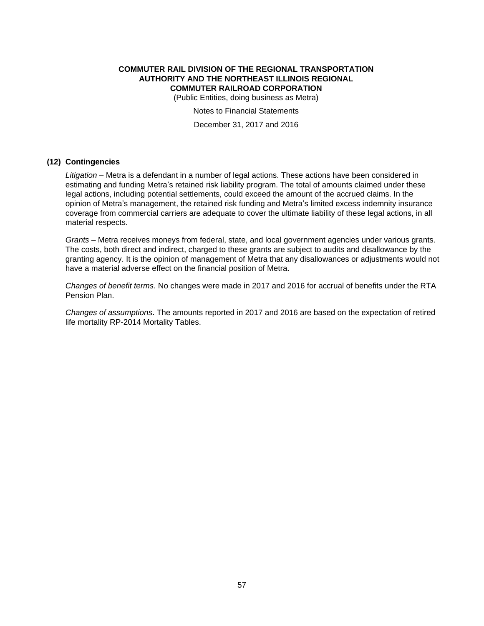(Public Entities, doing business as Metra)

Notes to Financial Statements

December 31, 2017 and 2016

# **(12) Contingencies**

*Litigation* – Metra is a defendant in a number of legal actions. These actions have been considered in estimating and funding Metra's retained risk liability program. The total of amounts claimed under these legal actions, including potential settlements, could exceed the amount of the accrued claims. In the opinion of Metra's management, the retained risk funding and Metra's limited excess indemnity insurance coverage from commercial carriers are adequate to cover the ultimate liability of these legal actions, in all material respects.

*Grants* – Metra receives moneys from federal, state, and local government agencies under various grants. The costs, both direct and indirect, charged to these grants are subject to audits and disallowance by the granting agency. It is the opinion of management of Metra that any disallowances or adjustments would not have a material adverse effect on the financial position of Metra.

*Changes of benefit terms*. No changes were made in 2017 and 2016 for accrual of benefits under the RTA Pension Plan.

*Changes of assumptions*. The amounts reported in 2017 and 2016 are based on the expectation of retired life mortality RP-2014 Mortality Tables.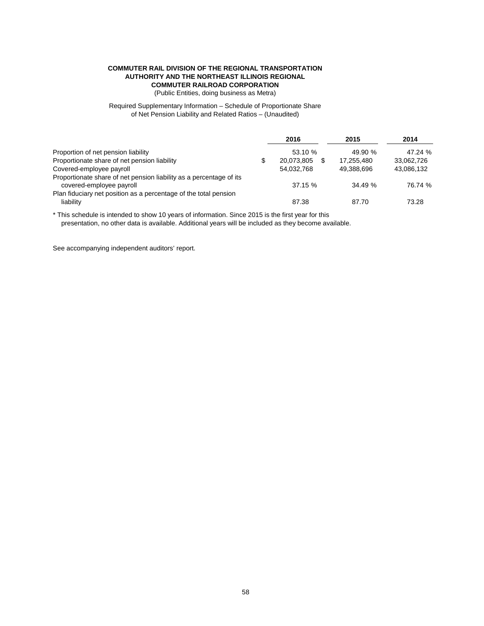(Public Entities, doing business as Metra)

#### Required Supplementary Information – Schedule of Proportionate Share of Net Pension Liability and Related Ratios – (Unaudited)

|                                                                     | 2016       | 2015       | 2014       |
|---------------------------------------------------------------------|------------|------------|------------|
| Proportion of net pension liability                                 | 53.10 %    | 49.90 $%$  | 47.24 %    |
| Proportionate share of net pension liability                        | 20.073.805 | 17.255.480 | 33,062,726 |
| Covered-employee payroll                                            | 54.032.768 | 49.388.696 | 43,086,132 |
| Proportionate share of net pension liability as a percentage of its |            |            |            |
| covered-employee payroll                                            | 37.15 %    | 34.49%     | 76.74 %    |
| Plan fiduciary net position as a percentage of the total pension    |            |            |            |
| liability                                                           | 87.38      | 87.70      | 73.28      |

\* This schedule is intended to show 10 years of information. Since 2015 is the first year for this

presentation, no other data is available. Additional years will be included as they become available.

See accompanying independent auditors' report.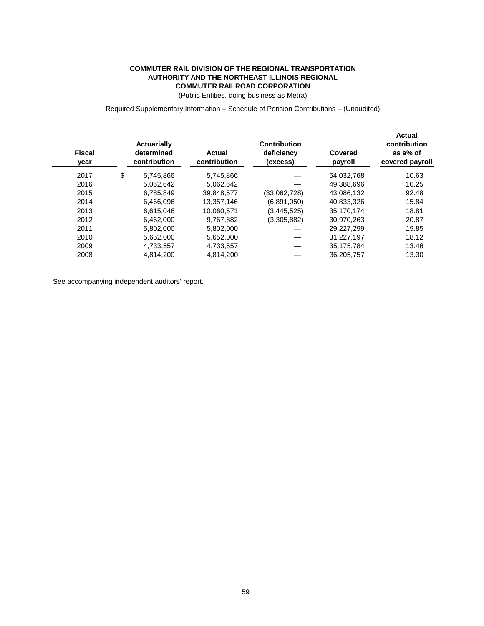(Public Entities, doing business as Metra)

Required Supplementary Information – Schedule of Pension Contributions – (Unaudited)

| <b>Fiscal</b><br>year | <b>Actuarially</b><br>determined<br>contribution | Actual<br>contribution | <b>Contribution</b><br>deficiency<br>(excess) | Covered<br>payroll | <b>Actual</b><br>contribution<br>as a% of<br>covered payroll |
|-----------------------|--------------------------------------------------|------------------------|-----------------------------------------------|--------------------|--------------------------------------------------------------|
| 2017                  | \$<br>5,745,866                                  | 5,745,866              |                                               | 54,032,768         | 10.63                                                        |
| 2016                  | 5.062.642                                        | 5.062.642              |                                               | 49.388.696         | 10.25                                                        |
| 2015                  | 6,785,849                                        | 39,848,577             | (33,062,728)                                  | 43,086,132         | 92.48                                                        |
| 2014                  | 6.466.096                                        | 13.357.146             | (6,891,050)                                   | 40,833,326         | 15.84                                                        |
| 2013                  | 6.615.046                                        | 10.060.571             | (3,445,525)                                   | 35.170.174         | 18.81                                                        |
| 2012                  | 6.462,000                                        | 9,767,882              | (3,305,882)                                   | 30,970,263         | 20.87                                                        |
| 2011                  | 5.802.000                                        | 5,802,000              |                                               | 29.227.299         | 19.85                                                        |
| 2010                  | 5.652.000                                        | 5.652.000              |                                               | 31.227.197         | 18.12                                                        |
| 2009                  | 4,733,557                                        | 4,733,557              |                                               | 35, 175, 784       | 13.46                                                        |
| 2008                  | 4,814,200                                        | 4,814,200              |                                               | 36,205,757         | 13.30                                                        |
|                       |                                                  |                        |                                               |                    |                                                              |

See accompanying independent auditors' report.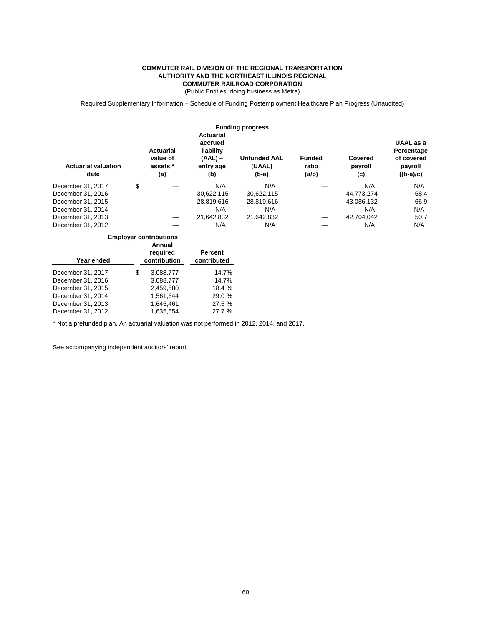(Public Entities, doing business as Metra)

Required Supplementary Information – Schedule of Funding Postemployment Healthcare Plan Progress (Unaudited)

|                                    |                                          |                                                                           | <b>Funding progress</b>                |                                 |                           |                                                                 |
|------------------------------------|------------------------------------------|---------------------------------------------------------------------------|----------------------------------------|---------------------------------|---------------------------|-----------------------------------------------------------------|
| <b>Actuarial valuation</b><br>date | Actuarial<br>value of<br>assets *<br>(a) | <b>Actuarial</b><br>accrued<br>liability<br>$(AAL)$ –<br>entry age<br>(b) | <b>Unfunded AAL</b><br>(UAAL)<br>(b-a) | <b>Funded</b><br>ratio<br>(a/b) | Covered<br>payroll<br>(C) | UAAL as a<br>Percentage<br>of covered<br>payroll<br>$((b-a)/c)$ |
| December 31, 2017                  | \$                                       | N/A                                                                       | N/A                                    |                                 | N/A                       | N/A                                                             |
| December 31, 2016                  |                                          | 30.622.115                                                                | 30,622,115                             |                                 | 44,773,274                | 68.4                                                            |
| December 31, 2015                  |                                          | 28.819.616                                                                | 28,819,616                             |                                 | 43.086.132                | 66.9                                                            |
| December 31, 2014                  |                                          | N/A                                                                       | N/A                                    |                                 | N/A                       | N/A                                                             |
| December 31, 2013                  |                                          | 21,642,832                                                                | 21,642,832                             |                                 | 42,704,042                | 50.7                                                            |
| December 31, 2012                  |                                          | N/A                                                                       | N/A                                    |                                 | N/A                       | N/A                                                             |
|                                    | <b>Employer contributions</b>            |                                                                           |                                        |                                 |                           |                                                                 |
| Voor onded                         | Annual<br>reauired<br>aantributian       | <b>Percent</b><br>aantributad                                             |                                        |                                 |                           |                                                                 |

| Year ended        | required<br>contribution | <b>Percent</b><br>contributed |
|-------------------|--------------------------|-------------------------------|
| December 31, 2017 | \$<br>3.088.777          | 14.7%                         |
| December 31, 2016 | 3,088,777                | 14.7%                         |
| December 31, 2015 | 2.459.580                | 18.4 %                        |
| December 31, 2014 | 1.561.644                | 29.0 %                        |
| December 31, 2013 | 1,645,461                | 27.5 %                        |
| December 31, 2012 | 1.635.554                | 27.7 %                        |

\* Not a prefunded plan. An actuarial valuation was not performed in 2012, 2014, and 2017.

See accompanying independent auditors' report.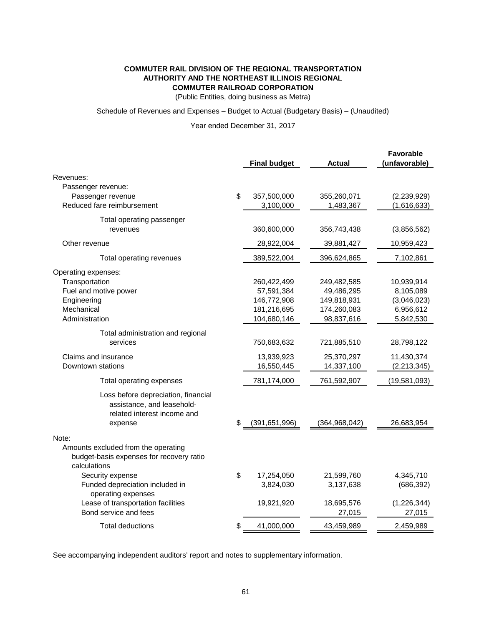(Public Entities, doing business as Metra)

Schedule of Revenues and Expenses – Budget to Actual (Budgetary Basis) – (Unaudited)

Year ended December 31, 2017

|                                                                                                             | <b>Final budget</b>   | <b>Actual</b>   | <b>Favorable</b><br>(unfavorable) |
|-------------------------------------------------------------------------------------------------------------|-----------------------|-----------------|-----------------------------------|
| Revenues:                                                                                                   |                       |                 |                                   |
| Passenger revenue:                                                                                          |                       |                 |                                   |
| Passenger revenue                                                                                           | \$<br>357,500,000     | 355,260,071     | (2, 239, 929)                     |
| Reduced fare reimbursement                                                                                  | 3,100,000             | 1,483,367       | (1,616,633)                       |
| Total operating passenger                                                                                   |                       |                 |                                   |
| revenues                                                                                                    | 360,600,000           | 356,743,438     | (3,856,562)                       |
| Other revenue                                                                                               | 28,922,004            | 39,881,427      | 10,959,423                        |
| Total operating revenues                                                                                    | 389,522,004           | 396,624,865     | 7,102,861                         |
| Operating expenses:                                                                                         |                       |                 |                                   |
| Transportation                                                                                              | 260,422,499           | 249,482,585     | 10,939,914                        |
| Fuel and motive power                                                                                       | 57,591,384            | 49,486,295      | 8,105,089                         |
| Engineering                                                                                                 | 146,772,908           | 149,818,931     | (3,046,023)                       |
| Mechanical                                                                                                  | 181,216,695           | 174,260,083     | 6,956,612                         |
| Administration                                                                                              | 104,680,146           | 98,837,616      | 5,842,530                         |
| Total administration and regional                                                                           |                       |                 |                                   |
| services                                                                                                    | 750,683,632           | 721,885,510     | 28,798,122                        |
| Claims and insurance                                                                                        | 13,939,923            | 25,370,297      | 11,430,374                        |
| Downtown stations                                                                                           | 16,550,445            | 14,337,100      | (2,213,345)                       |
| Total operating expenses                                                                                    | 781,174,000           | 761,592,907     | (19,581,093)                      |
| Loss before depreciation, financial<br>assistance, and leasehold-<br>related interest income and<br>expense | \$<br>(391, 651, 996) | (364, 968, 042) | 26,683,954                        |
| Note:                                                                                                       |                       |                 |                                   |
| Amounts excluded from the operating<br>budget-basis expenses for recovery ratio<br>calculations             |                       |                 |                                   |
| Security expense                                                                                            | \$<br>17,254,050      | 21,599,760      | 4,345,710                         |
| Funded depreciation included in<br>operating expenses                                                       | 3,824,030             | 3,137,638       | (686, 392)                        |
| Lease of transportation facilities                                                                          | 19,921,920            | 18,695,576      | (1,226,344)                       |
| Bond service and fees                                                                                       |                       | 27,015          | 27,015                            |
| <b>Total deductions</b>                                                                                     | \$<br>41,000,000      | 43,459,989      | 2,459,989                         |

See accompanying independent auditors' report and notes to supplementary information.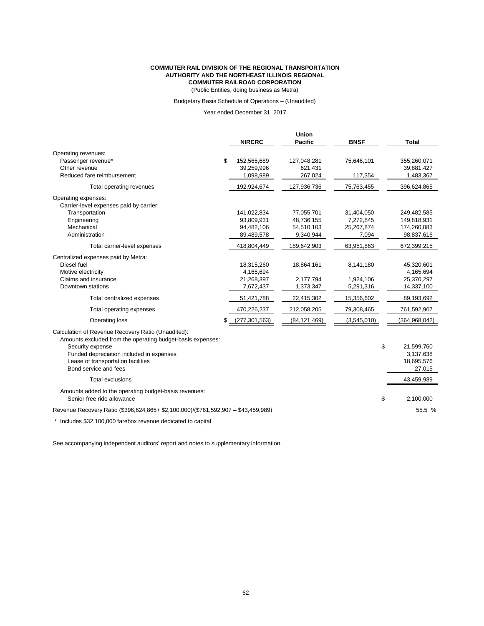#### **COMMUTER RAIL DIVISION OF THE REGIONAL TRANSPORTATION AUTHORITY AND THE NORTHEAST ILLINOIS REGIONAL COMMUTER RAILROAD CORPORATION** (Public Entities, doing business as Metra)

Budgetary Basis Schedule of Operations – (Unaudited)

#### Year ended December 31, 2017

|                                                                                                                  |    |                 | <b>Union</b>   |             |                  |
|------------------------------------------------------------------------------------------------------------------|----|-----------------|----------------|-------------|------------------|
|                                                                                                                  |    | <b>NIRCRC</b>   | <b>Pacific</b> | <b>BNSF</b> | <b>Total</b>     |
| Operating revenues:                                                                                              |    |                 |                |             |                  |
| Passenger revenue*                                                                                               | \$ | 152,565,689     | 127,048,281    | 75,646,101  | 355,260,071      |
| Other revenue                                                                                                    |    | 39,259,996      | 621,431        |             | 39,881,427       |
| Reduced fare reimbursement                                                                                       |    | 1,098,989       | 267,024        | 117,354     | 1,483,367        |
| Total operating revenues                                                                                         |    | 192,924,674     | 127,936,736    | 75,763,455  | 396,624,865      |
| Operating expenses:                                                                                              |    |                 |                |             |                  |
| Carrier-level expenses paid by carrier:                                                                          |    |                 |                |             |                  |
| Transportation                                                                                                   |    | 141,022,834     | 77,055,701     | 31,404,050  | 249,482,585      |
| Engineering                                                                                                      |    | 93,809,931      | 48,736,155     | 7,272,845   | 149,818,931      |
| Mechanical                                                                                                       |    | 94,482,106      | 54,510,103     | 25,267,874  | 174,260,083      |
| Administration                                                                                                   |    | 89,489,578      | 9,340,944      | 7,094       | 98,837,616       |
| Total carrier-level expenses                                                                                     |    | 418,804,449     | 189,642,903    | 63,951,863  | 672,399,215      |
| Centralized expenses paid by Metra:                                                                              |    |                 |                |             |                  |
| Diesel fuel                                                                                                      |    | 18,315,260      | 18,864,161     | 8,141,180   | 45,320,601       |
| Motive electricity                                                                                               |    | 4,165,694       |                |             | 4,165,694        |
| Claims and insurance                                                                                             |    | 21,268,397      | 2,177,794      | 1,924,106   | 25,370,297       |
| Downtown stations                                                                                                |    | 7,672,437       | 1,373,347      | 5,291,316   | 14,337,100       |
| Total centralized expenses                                                                                       |    | 51,421,788      | 22,415,302     | 15,356,602  | 89,193,692       |
|                                                                                                                  |    |                 |                |             |                  |
| Total operating expenses                                                                                         |    | 470,226,237     | 212,058,205    | 79,308,465  | 761,592,907      |
| Operating loss                                                                                                   | S  | (277, 301, 563) | (84, 121, 469) | (3,545,010) | (364,968,042)    |
| Calculation of Revenue Recovery Ratio (Unaudited):<br>Amounts excluded from the operating budget-basis expenses: |    |                 |                |             |                  |
| Security expense                                                                                                 |    |                 |                |             | \$<br>21,599,760 |
| Funded depreciation included in expenses                                                                         |    |                 |                |             | 3,137,638        |
| Lease of transportation facilities                                                                               |    |                 |                |             | 18,695,576       |
| Bond service and fees                                                                                            |    |                 |                |             | 27,015           |
| <b>Total exclusions</b>                                                                                          |    |                 |                |             | 43,459,989       |
| Amounts added to the operating budget-basis revenues:                                                            |    |                 |                |             |                  |
| Senior free ride allowance                                                                                       |    |                 |                |             | \$<br>2,100,000  |
| Revenue Recovery Ratio (\$396,624,865+ \$2,100,000)/(\$761,592,907 - \$43,459,989)                               |    |                 |                |             | 55.5 %           |
| * Includes \$32,100,000 farebox revenue dedicated to capital                                                     |    |                 |                |             |                  |

See accompanying independent auditors' report and notes to supplementary information.